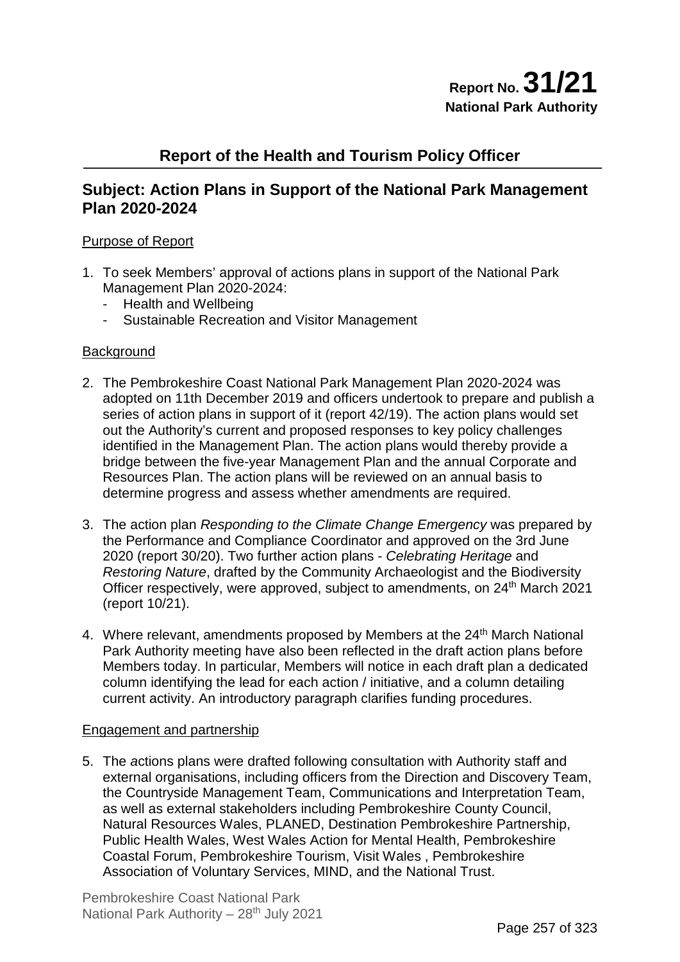## **Report of the Health and Tourism Policy Officer**

## **Subject: Action Plans in Support of the National Park Management Plan 2020-2024**

## Purpose of Report

- 1. To seek Members' approval of actions plans in support of the National Park Management Plan 2020-2024:
	- Health and Wellbeing
	- Sustainable Recreation and Visitor Management

#### **Background**

- 2. The Pembrokeshire Coast National Park Management Plan 2020-2024 was adopted on 11th December 2019 and officers undertook to prepare and publish a series of action plans in support of it (report 42/19). The action plans would set out the Authority's current and proposed responses to key policy challenges identified in the Management Plan. The action plans would thereby provide a bridge between the five-year Management Plan and the annual Corporate and Resources Plan. The action plans will be reviewed on an annual basis to determine progress and assess whether amendments are required.
- 3. The action plan *Responding to the Climate Change Emergency* was prepared by the Performance and Compliance Coordinator and approved on the 3rd June 2020 (report 30/20). Two further action plans - *Celebrating Heritage* and *Restoring Nature*, drafted by the Community Archaeologist and the Biodiversity Officer respectively, were approved, subject to amendments, on 24<sup>th</sup> March 2021 (report 10/21).
- 4. Where relevant, amendments proposed by Members at the 24<sup>th</sup> March National Park Authority meeting have also been reflected in the draft action plans before Members today. In particular, Members will notice in each draft plan a dedicated column identifying the lead for each action / initiative, and a column detailing current activity. An introductory paragraph clarifies funding procedures.

## Engagement and partnership

5. The *a*ctions plans were drafted following consultation with Authority staff and external organisations, including officers from the Direction and Discovery Team, the Countryside Management Team, Communications and Interpretation Team, as well as external stakeholders including Pembrokeshire County Council, Natural Resources Wales, PLANED, Destination Pembrokeshire Partnership, Public Health Wales, West Wales Action for Mental Health, Pembrokeshire Coastal Forum, Pembrokeshire Tourism, Visit Wales , Pembrokeshire Association of Voluntary Services, MIND, and the National Trust.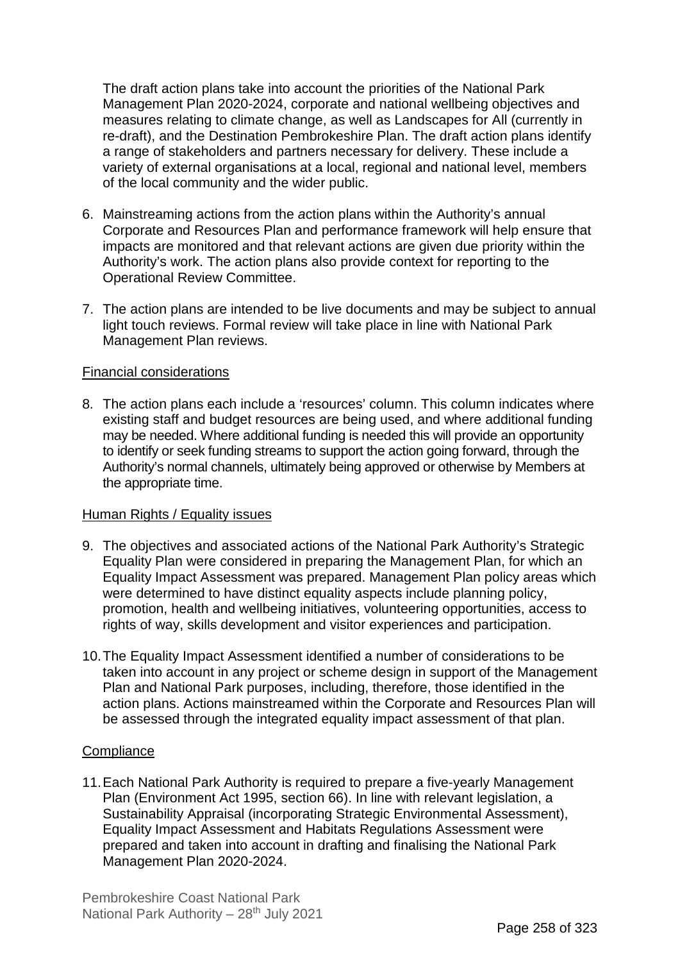The draft action plans take into account the priorities of the National Park Management Plan 2020-2024, corporate and national wellbeing objectives and measures relating to climate change, as well as Landscapes for All (currently in re-draft), and the Destination Pembrokeshire Plan. The draft action plans identify a range of stakeholders and partners necessary for delivery. These include a variety of external organisations at a local, regional and national level, members of the local community and the wider public.

- 6. Mainstreaming actions from the *a*ction plans within the Authority's annual Corporate and Resources Plan and performance framework will help ensure that impacts are monitored and that relevant actions are given due priority within the Authority's work. The action plans also provide context for reporting to the Operational Review Committee.
- 7. The action plans are intended to be live documents and may be subject to annual light touch reviews. Formal review will take place in line with National Park Management Plan reviews.

## Financial considerations

8. The action plans each include a 'resources' column. This column indicates where existing staff and budget resources are being used, and where additional funding may be needed. Where additional funding is needed this will provide an opportunity to identify or seek funding streams to support the action going forward, through the Authority's normal channels, ultimately being approved or otherwise by Members at the appropriate time.

#### Human Rights / Equality issues

- 9. The objectives and associated actions of the National Park Authority's Strategic Equality Plan were considered in preparing the Management Plan, for which an Equality Impact Assessment was prepared. Management Plan policy areas which were determined to have distinct equality aspects include planning policy, promotion, health and wellbeing initiatives, volunteering opportunities, access to rights of way, skills development and visitor experiences and participation.
- 10.The Equality Impact Assessment identified a number of considerations to be taken into account in any project or scheme design in support of the Management Plan and National Park purposes, including, therefore, those identified in the action plans. Actions mainstreamed within the Corporate and Resources Plan will be assessed through the integrated equality impact assessment of that plan.

#### **Compliance**

11.Each National Park Authority is required to prepare a five-yearly Management Plan (Environment Act 1995, section 66). In line with relevant legislation, a Sustainability Appraisal (incorporating Strategic Environmental Assessment), Equality Impact Assessment and Habitats Regulations Assessment were prepared and taken into account in drafting and finalising the National Park Management Plan 2020-2024.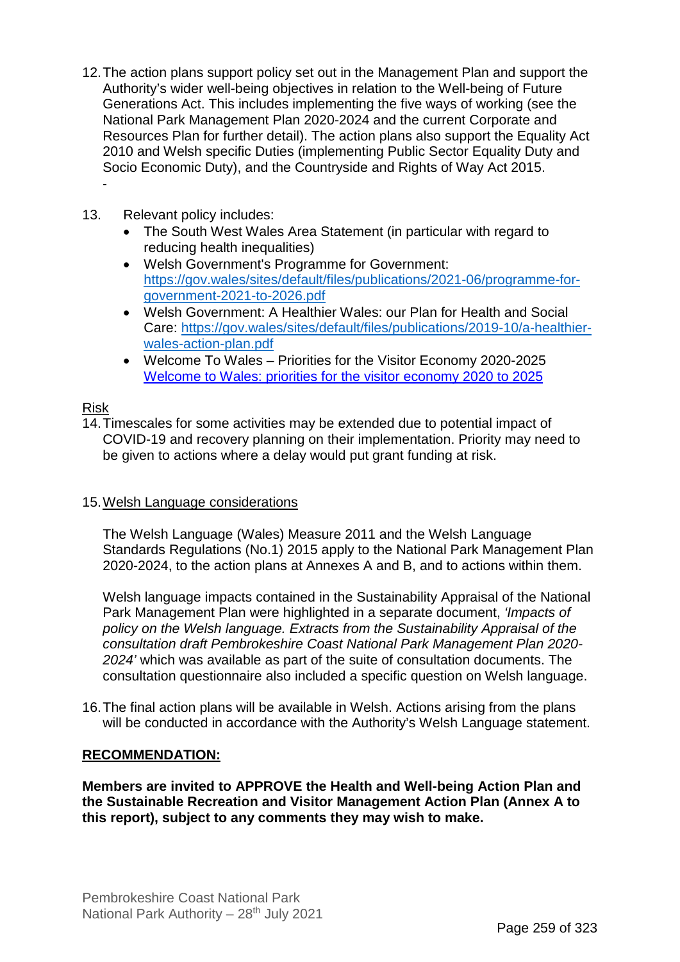- 12.The action plans support policy set out in the Management Plan and support the Authority's wider well-being objectives in relation to the Well-being of Future Generations Act. This includes implementing the five ways of working (see the National Park Management Plan 2020-2024 and the current Corporate and Resources Plan for further detail). The action plans also support the Equality Act 2010 and Welsh specific Duties (implementing Public Sector Equality Duty and Socio Economic Duty), and the Countryside and Rights of Way Act 2015.
- 13. Relevant policy includes:
	- The South West Wales Area Statement (in particular with regard to reducing health inequalities)
	- Welsh Government's Programme for Government: [https://gov.wales/sites/default/files/publications/2021-06/programme-for](https://gov.wales/sites/default/files/publications/2021-06/programme-for-government-2021-to-2026.pdf)[government-2021-to-2026.pdf](https://gov.wales/sites/default/files/publications/2021-06/programme-for-government-2021-to-2026.pdf)
	- Welsh Government: A Healthier Wales: our Plan for Health and Social Care: [https://gov.wales/sites/default/files/publications/2019-10/a-healthier](https://gov.wales/sites/default/files/publications/2019-10/a-healthier-wales-action-plan.pdf)[wales-action-plan.pdf](https://gov.wales/sites/default/files/publications/2019-10/a-healthier-wales-action-plan.pdf)
	- Welcome To Wales Priorities for the Visitor Economy 2020-2025 [Welcome to Wales: priorities for the visitor economy 2020 to 2025](https://gov.wales/sites/default/files/publications/2020-01/welcome-to-wales-priorities-for-the-visitor-economy-2020-to-2025.pdf)

## Risk

-

14.Timescales for some activities may be extended due to potential impact of COVID-19 and recovery planning on their implementation. Priority may need to be given to actions where a delay would put grant funding at risk.

## 15.Welsh Language considerations

The Welsh Language (Wales) Measure 2011 and the Welsh Language Standards Regulations (No.1) 2015 apply to the National Park Management Plan 2020-2024, to the action plans at Annexes A and B, and to actions within them.

Welsh language impacts contained in the Sustainability Appraisal of the National Park Management Plan were highlighted in a separate document, *'Impacts of policy on the Welsh language. Extracts from the Sustainability Appraisal of the consultation draft Pembrokeshire Coast National Park Management Plan 2020- 2024'* which was available as part of the suite of consultation documents. The consultation questionnaire also included a specific question on Welsh language.

16.The final action plans will be available in Welsh. Actions arising from the plans will be conducted in accordance with the Authority's Welsh Language statement.

## **RECOMMENDATION:**

**Members are invited to APPROVE the Health and Well-being Action Plan and the Sustainable Recreation and Visitor Management Action Plan (Annex A to this report), subject to any comments they may wish to make.**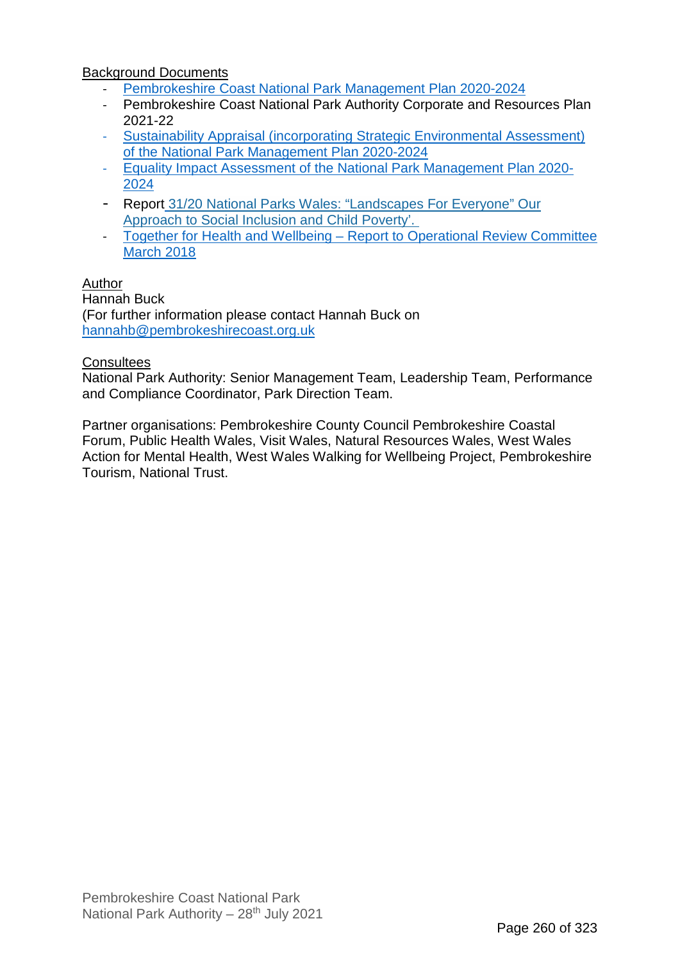Background Documents

- [Pembrokeshire Coast National Park Management Plan 2020-2024](https://www.pembrokeshirecoast.wales/about-the-national-park-authority/national-park-management-plan/)
- Pembrokeshire Coast National Park Authority Corporate and Resources Plan 2021-22
- [Sustainability Appraisal \(incorporating Strategic Environmental Assessment\)](https://www.pembrokeshirecoast.wales/about-the-national-park-authority/national-park-management-plan/)  [of the National Park Management Plan 2020-2024](https://www.pembrokeshirecoast.wales/about-the-national-park-authority/national-park-management-plan/)
- [Equality Impact Assessment of the National Park Management Plan 2020-](https://www.pembrokeshirecoast.wales/about-the-national-park-authority/national-park-management-plan/) [2024](https://www.pembrokeshirecoast.wales/about-the-national-park-authority/national-park-management-plan/)
- Report [31/20 National Parks Wales: "Landscapes For Everyone" Our](https://www.pembrokeshirecoast.wales/wp-content/uploads/2020/07/31_20-Landscapes-for-Everyone.pdf)  [Approach to Social Inclusion and Child Poverty'.](https://www.pembrokeshirecoast.wales/wp-content/uploads/2020/07/31_20-Landscapes-for-Everyone.pdf)
- [Together for Health and Wellbeing Report to Operational Review Committee](https://www.pembrokeshirecoast.wales/wp-content/uploads/archive/committee_operational_review_2018_march_7_02_18_health_wellbeing.pdf)  [March 2018](https://www.pembrokeshirecoast.wales/wp-content/uploads/archive/committee_operational_review_2018_march_7_02_18_health_wellbeing.pdf)

## Author

Hannah Buck (For further information please contact Hannah Buck on [hannahb@pembrokeshirecoast.org.uk](mailto:hannahb@pembrokeshirecoast.org.uk)

## **Consultees**

National Park Authority: Senior Management Team, Leadership Team, Performance and Compliance Coordinator, Park Direction Team.

Partner organisations: Pembrokeshire County Council Pembrokeshire Coastal Forum, Public Health Wales, Visit Wales, Natural Resources Wales, West Wales Action for Mental Health, West Wales Walking for Wellbeing Project, Pembrokeshire Tourism, National Trust.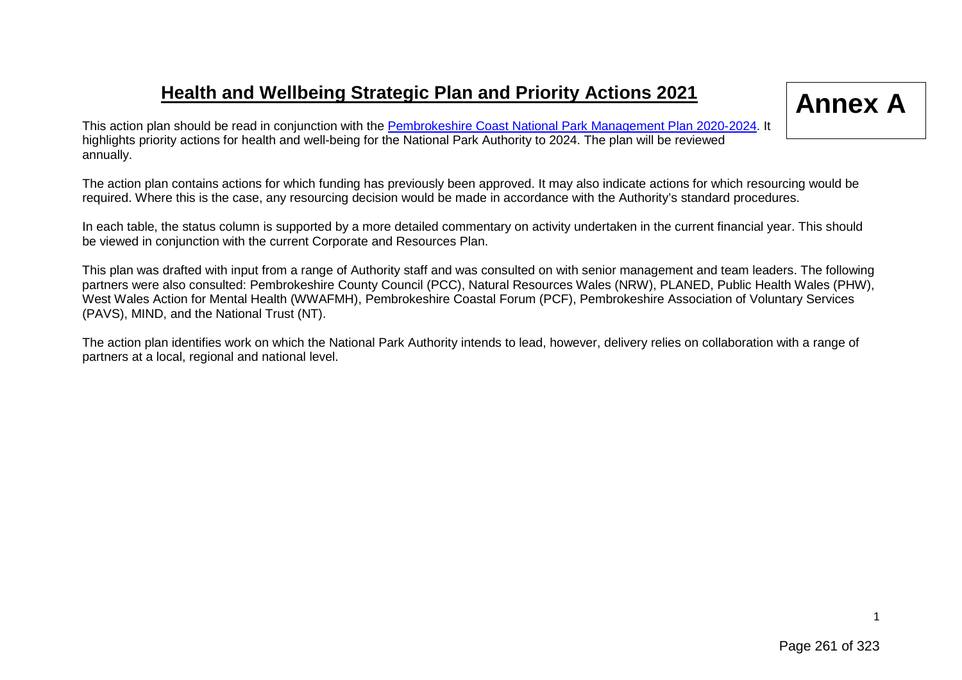# **Health and Wellbeing Strategic Plan and Priority Actions 2021**

# **Annex A**

This action plan should be read in conjunction with the [Pembrokeshire Coast National Park Management Plan 2020-2024.](https://www.pembrokeshirecoast.wales/wp-content/uploads/2021/04/National-Park-Management-Plan-2020-2024-Eng.pdf) It highlights priority actions for health and well-being for the National Park Authority to 2024. The plan will be reviewed annually.

The action plan contains actions for which funding has previously been approved. It may also indicate actions for which resourcing would be required. Where this is the case, any resourcing decision would be made in accordance with the Authority's standard procedures.

In each table, the status column is supported by a more detailed commentary on activity undertaken in the current financial year. This should be viewed in conjunction with the current Corporate and Resources Plan.

This plan was drafted with input from a range of Authority staff and was consulted on with senior management and team leaders. The following partners were also consulted: Pembrokeshire County Council (PCC), Natural Resources Wales (NRW), PLANED, Public Health Wales (PHW), West Wales Action for Mental Health (WWAFMH), Pembrokeshire Coastal Forum (PCF), Pembrokeshire Association of Voluntary Services (PAVS), MIND, and the National Trust (NT).

The action plan identifies work on which the National Park Authority intends to lead, however, delivery relies on collaboration with a range of partners at a local, regional and national level.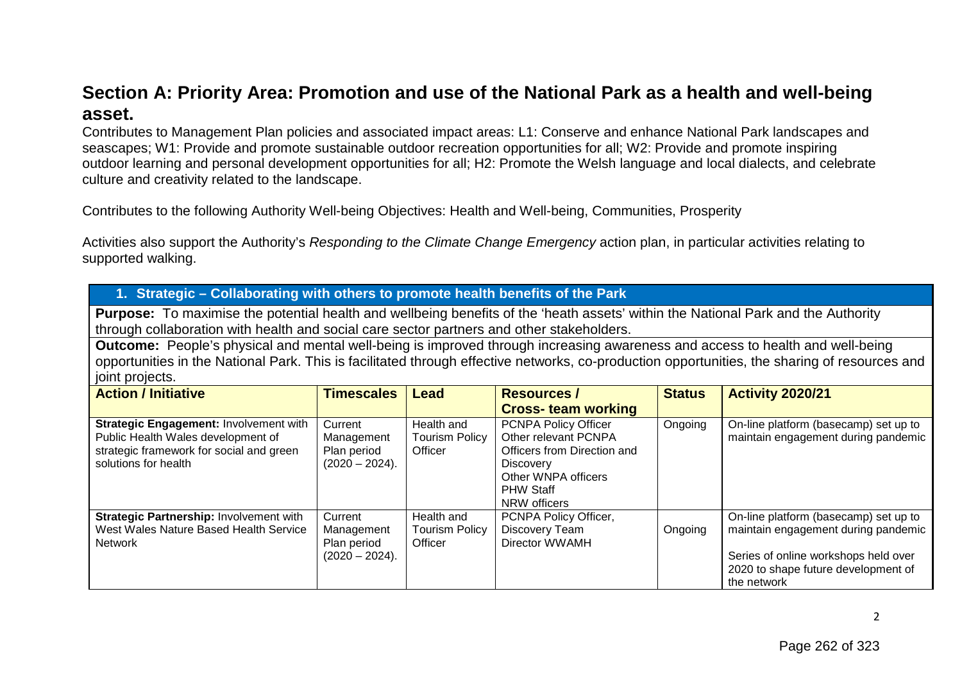## **Section A: Priority Area: Promotion and use of the National Park as a health and well-being asset.**

Contributes to Management Plan policies and associated impact areas: L1: Conserve and enhance National Park landscapes and seascapes; W1: Provide and promote sustainable outdoor recreation opportunities for all; W2: Provide and promote inspiring outdoor learning and personal development opportunities for all; H2: Promote the Welsh language and local dialects, and celebrate culture and creativity related to the landscape.

Contributes to the following Authority Well-being Objectives: Health and Well-being, Communities, Prosperity

Activities also support the Authority's *Responding to the Climate Change Emergency* action plan, in particular activities relating to supported walking.

| 1. Strategic - Collaborating with others to promote health benefits of the Park                                                                                                                                                                                                                   |                                                          |                                                |                                                                                                                                                            |               |                                                                                                                                                                            |  |  |  |  |
|---------------------------------------------------------------------------------------------------------------------------------------------------------------------------------------------------------------------------------------------------------------------------------------------------|----------------------------------------------------------|------------------------------------------------|------------------------------------------------------------------------------------------------------------------------------------------------------------|---------------|----------------------------------------------------------------------------------------------------------------------------------------------------------------------------|--|--|--|--|
| <b>Purpose:</b> To maximise the potential health and wellbeing benefits of the 'heath assets' within the National Park and the Authority<br>through collaboration with health and social care sector partners and other stakeholders.                                                             |                                                          |                                                |                                                                                                                                                            |               |                                                                                                                                                                            |  |  |  |  |
| Outcome: People's physical and mental well-being is improved through increasing awareness and access to health and well-being<br>opportunities in the National Park. This is facilitated through effective networks, co-production opportunities, the sharing of resources and<br>joint projects. |                                                          |                                                |                                                                                                                                                            |               |                                                                                                                                                                            |  |  |  |  |
| <b>Action / Initiative</b>                                                                                                                                                                                                                                                                        | <b>Timescales</b>                                        | Lead                                           | <b>Resources /</b>                                                                                                                                         | <b>Status</b> | <b>Activity 2020/21</b>                                                                                                                                                    |  |  |  |  |
|                                                                                                                                                                                                                                                                                                   |                                                          |                                                | <b>Cross-team working</b>                                                                                                                                  |               |                                                                                                                                                                            |  |  |  |  |
| <b>Strategic Engagement: Involvement with</b><br>Public Health Wales development of<br>strategic framework for social and green<br>solutions for health                                                                                                                                           | Current<br>Management<br>Plan period<br>$(2020 - 2024).$ | Health and<br><b>Tourism Policy</b><br>Officer | PCNPA Policy Officer<br>Other relevant PCNPA<br>Officers from Direction and<br><b>Discovery</b><br>Other WNPA officers<br><b>PHW Staff</b><br>NRW officers | Ongoing       | On-line platform (basecamp) set up to<br>maintain engagement during pandemic                                                                                               |  |  |  |  |
| Strategic Partnership: Involvement with<br>West Wales Nature Based Health Service<br>Network                                                                                                                                                                                                      | Current<br>Management<br>Plan period<br>$(2020 - 2024).$ | Health and<br><b>Tourism Policy</b><br>Officer | PCNPA Policy Officer,<br>Discovery Team<br>Director WWAMH                                                                                                  | Ongoing       | On-line platform (basecamp) set up to<br>maintain engagement during pandemic<br>Series of online workshops held over<br>2020 to shape future development of<br>the network |  |  |  |  |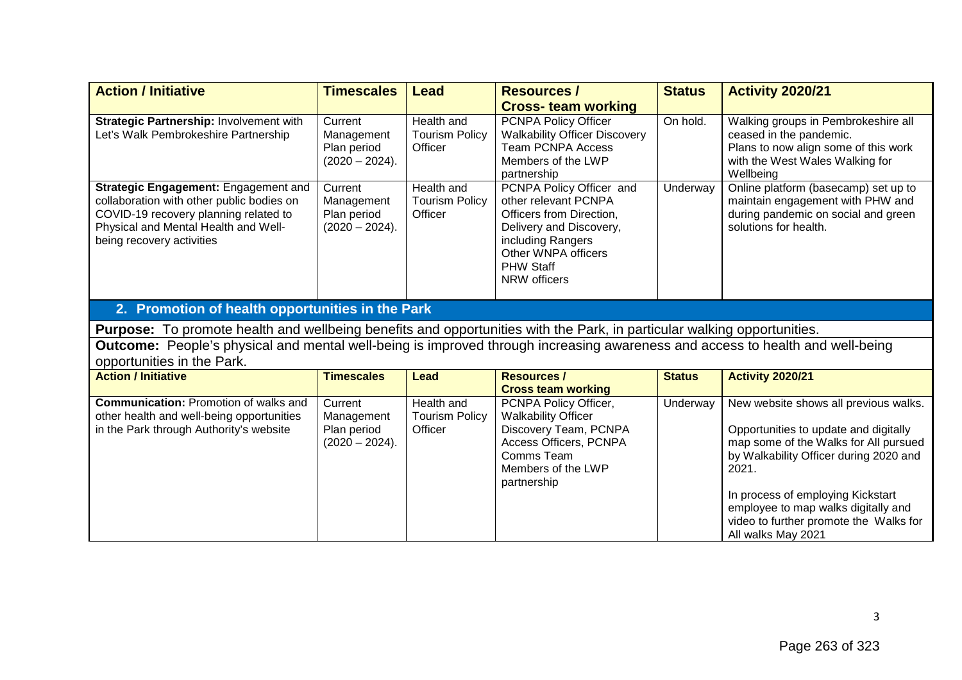| <b>Action / Initiative</b>                                                                                                                                                                      | <b>Timescales</b>                                        | <b>Lead</b>                                    | <b>Resources /</b>                                                                                                                                                                      | <b>Status</b> | <b>Activity 2020/21</b>                                                                                                                                                                                         |
|-------------------------------------------------------------------------------------------------------------------------------------------------------------------------------------------------|----------------------------------------------------------|------------------------------------------------|-----------------------------------------------------------------------------------------------------------------------------------------------------------------------------------------|---------------|-----------------------------------------------------------------------------------------------------------------------------------------------------------------------------------------------------------------|
|                                                                                                                                                                                                 |                                                          |                                                | <b>Cross-team working</b>                                                                                                                                                               |               |                                                                                                                                                                                                                 |
| Strategic Partnership: Involvement with<br>Let's Walk Pembrokeshire Partnership                                                                                                                 | Current<br>Management<br>Plan period<br>$(2020 - 2024).$ | Health and<br><b>Tourism Policy</b><br>Officer | PCNPA Policy Officer<br><b>Walkability Officer Discovery</b><br><b>Team PCNPA Access</b><br>Members of the LWP<br>partnership                                                           | On hold.      | Walking groups in Pembrokeshire all<br>ceased in the pandemic.<br>Plans to now align some of this work<br>with the West Wales Walking for<br>Wellbeing                                                          |
| Strategic Engagement: Engagement and<br>collaboration with other public bodies on<br>COVID-19 recovery planning related to<br>Physical and Mental Health and Well-<br>being recovery activities | Current<br>Management<br>Plan period<br>$(2020 - 2024).$ | Health and<br><b>Tourism Policy</b><br>Officer | PCNPA Policy Officer and<br>other relevant PCNPA<br>Officers from Direction,<br>Delivery and Discovery,<br>including Rangers<br>Other WNPA officers<br><b>PHW Staff</b><br>NRW officers | Underway      | Online platform (basecamp) set up to<br>maintain engagement with PHW and<br>during pandemic on social and green<br>solutions for health.                                                                        |
| 2. Promotion of health opportunities in the Park                                                                                                                                                |                                                          |                                                |                                                                                                                                                                                         |               |                                                                                                                                                                                                                 |
| Purpose: To promote health and wellbeing benefits and opportunities with the Park, in particular walking opportunities.                                                                         |                                                          |                                                |                                                                                                                                                                                         |               |                                                                                                                                                                                                                 |
| Outcome: People's physical and mental well-being is improved through increasing awareness and access to health and well-being<br>opportunities in the Park.                                     |                                                          |                                                |                                                                                                                                                                                         |               |                                                                                                                                                                                                                 |
| <b>Action / Initiative</b>                                                                                                                                                                      | <b>Timescales</b>                                        | Lead                                           | <b>Resources /</b><br><b>Cross team working</b>                                                                                                                                         | <b>Status</b> | <b>Activity 2020/21</b>                                                                                                                                                                                         |
| <b>Communication: Promotion of walks and</b><br>other health and well-being opportunities<br>in the Park through Authority's website                                                            | Current<br>Management<br>Plan period<br>$(2020 - 2024).$ | Health and<br><b>Tourism Policy</b><br>Officer | PCNPA Policy Officer,<br><b>Walkability Officer</b><br>Discovery Team, PCNPA<br>Access Officers, PCNPA<br>Comms Team<br>Members of the LWP<br>partnership                               | Underway      | New website shows all previous walks.<br>Opportunities to update and digitally<br>map some of the Walks for All pursued<br>by Walkability Officer during 2020 and<br>2021.<br>In process of employing Kickstart |

employee to map walks digitally and video to further promote the Walks for

All walks May 2021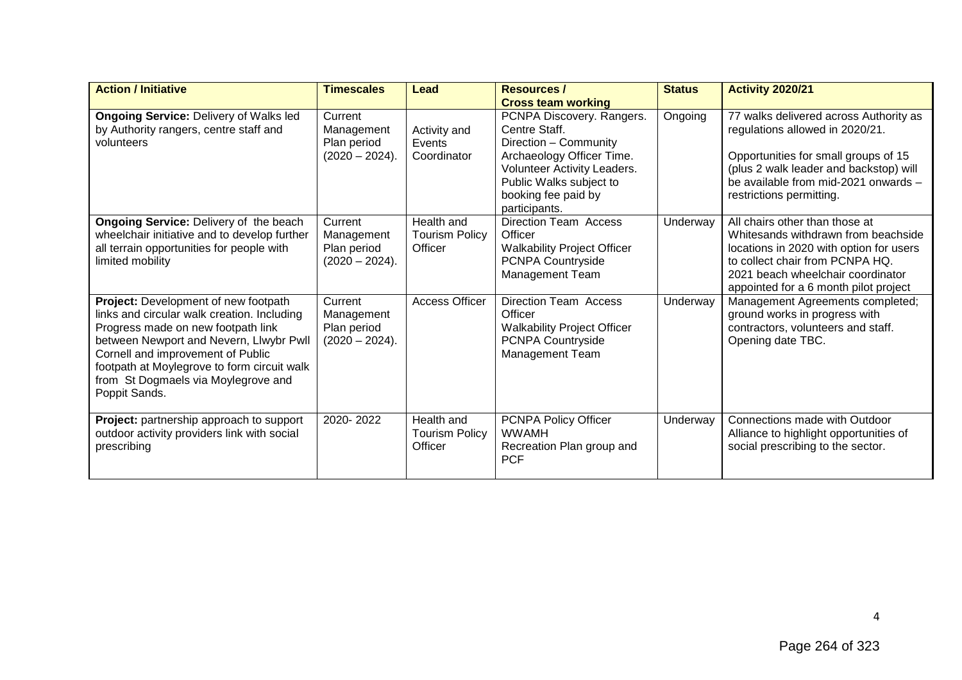| <b>Action / Initiative</b>                                                                                                                                                                                                                                                                                       | <b>Timescales</b>                                        | Lead                                           | <b>Resources /</b>                                                                                                                                                                                 | <b>Status</b> | <b>Activity 2020/21</b>                                                                                                                                                                                                           |
|------------------------------------------------------------------------------------------------------------------------------------------------------------------------------------------------------------------------------------------------------------------------------------------------------------------|----------------------------------------------------------|------------------------------------------------|----------------------------------------------------------------------------------------------------------------------------------------------------------------------------------------------------|---------------|-----------------------------------------------------------------------------------------------------------------------------------------------------------------------------------------------------------------------------------|
|                                                                                                                                                                                                                                                                                                                  |                                                          |                                                | <b>Cross team working</b>                                                                                                                                                                          |               |                                                                                                                                                                                                                                   |
| <b>Ongoing Service: Delivery of Walks led</b><br>by Authority rangers, centre staff and<br>volunteers                                                                                                                                                                                                            | Current<br>Management<br>Plan period<br>$(2020 - 2024).$ | Activity and<br>Events<br>Coordinator          | PCNPA Discovery. Rangers.<br>Centre Staff.<br>Direction - Community<br>Archaeology Officer Time.<br>Volunteer Activity Leaders.<br>Public Walks subject to<br>booking fee paid by<br>participants. | Ongoing       | 77 walks delivered across Authority as<br>regulations allowed in 2020/21.<br>Opportunities for small groups of 15<br>(plus 2 walk leader and backstop) will<br>be available from mid-2021 onwards -<br>restrictions permitting.   |
| <b>Ongoing Service: Delivery of the beach</b><br>wheelchair initiative and to develop further<br>all terrain opportunities for people with<br>limited mobility                                                                                                                                                   | Current<br>Management<br>Plan period<br>$(2020 - 2024).$ | Health and<br>Tourism Policy<br>Officer        | <b>Direction Team Access</b><br>Officer<br><b>Walkability Project Officer</b><br><b>PCNPA Countryside</b><br><b>Management Team</b>                                                                | Underway      | All chairs other than those at<br>Whitesands withdrawn from beachside<br>locations in 2020 with option for users<br>to collect chair from PCNPA HQ.<br>2021 beach wheelchair coordinator<br>appointed for a 6 month pilot project |
| Project: Development of new footpath<br>links and circular walk creation. Including<br>Progress made on new footpath link<br>between Newport and Nevern, Llwybr Pwll<br>Cornell and improvement of Public<br>footpath at Moylegrove to form circuit walk<br>from St Dogmaels via Moylegrove and<br>Poppit Sands. | Current<br>Management<br>Plan period<br>$(2020 - 2024).$ | <b>Access Officer</b>                          | <b>Direction Team Access</b><br>Officer<br><b>Walkability Project Officer</b><br>PCNPA Countryside<br><b>Management Team</b>                                                                       | Underway      | Management Agreements completed;<br>ground works in progress with<br>contractors, volunteers and staff.<br>Opening date TBC.                                                                                                      |
| Project: partnership approach to support<br>outdoor activity providers link with social<br>prescribing                                                                                                                                                                                                           | 2020-2022                                                | Health and<br><b>Tourism Policy</b><br>Officer | PCNPA Policy Officer<br><b>WWAMH</b><br>Recreation Plan group and<br><b>PCF</b>                                                                                                                    | Underway      | Connections made with Outdoor<br>Alliance to highlight opportunities of<br>social prescribing to the sector.                                                                                                                      |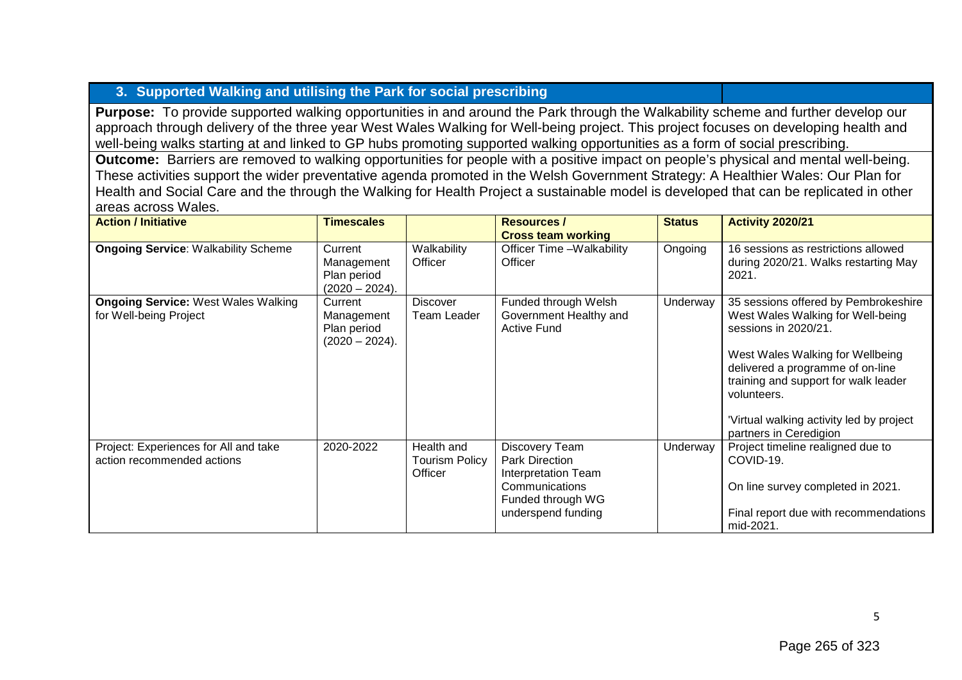## **3. Supported Walking and utilising the Park for social prescribing**

**Purpose:** To provide supported walking opportunities in and around the Park through the Walkability scheme and further develop our approach through delivery of the three year West Wales Walking for Well-being project. This project focuses on developing health and well-being walks starting at and linked to GP hubs promoting supported walking opportunities as a form of social prescribing.

**Outcome:** Barriers are removed to walking opportunities for people with a positive impact on people's physical and mental well-being. These activities support the wider preventative agenda promoted in the Welsh Government Strategy: A Healthier Wales: Our Plan for Health and Social Care and the through the Walking for Health Project a sustainable model is developed that can be replicated in other areas across Wales.

| <b>Action / Initiative</b>                                           | <b>Timescales</b>                                         |                                                | <b>Resources /</b><br><b>Cross team working</b>                                                                      | <b>Status</b> | <b>Activity 2020/21</b>                                                                                                                                                                                                                                                                               |
|----------------------------------------------------------------------|-----------------------------------------------------------|------------------------------------------------|----------------------------------------------------------------------------------------------------------------------|---------------|-------------------------------------------------------------------------------------------------------------------------------------------------------------------------------------------------------------------------------------------------------------------------------------------------------|
| <b>Ongoing Service: Walkability Scheme</b>                           | Current<br>Management<br>Plan period<br>$(2020 - 2024).$  | Walkability<br>Officer                         | Officer Time -Walkability<br>Officer                                                                                 | Ongoing       | 16 sessions as restrictions allowed<br>during 2020/21. Walks restarting May<br>2021.                                                                                                                                                                                                                  |
| <b>Ongoing Service: West Wales Walking</b><br>for Well-being Project | Current<br>Management<br>Plan period<br>$(2020 - 2024)$ . | <b>Discover</b><br>Team Leader                 | Funded through Welsh<br>Government Healthy and<br><b>Active Fund</b>                                                 | Underway      | 35 sessions offered by Pembrokeshire<br>West Wales Walking for Well-being<br>sessions in 2020/21.<br>West Wales Walking for Wellbeing<br>delivered a programme of on-line<br>training and support for walk leader<br>volunteers.<br>Virtual walking activity led by project<br>partners in Ceredigion |
| Project: Experiences for All and take<br>action recommended actions  | 2020-2022                                                 | Health and<br><b>Tourism Policy</b><br>Officer | Discovery Team<br>Park Direction<br>Interpretation Team<br>Communications<br>Funded through WG<br>underspend funding | Underway      | Project timeline realigned due to<br>COVID-19.<br>On line survey completed in 2021.<br>Final report due with recommendations<br>mid-2021.                                                                                                                                                             |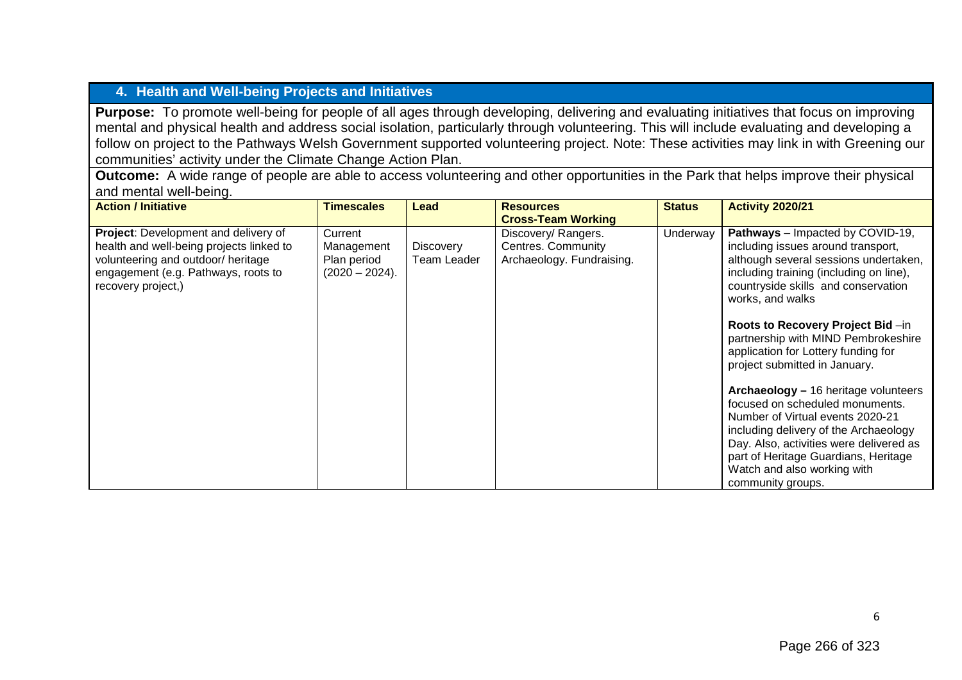## **4. Health and Well-being Projects and Initiatives**

**Purpose:** To promote well-being for people of all ages through developing, delivering and evaluating initiatives that focus on improving mental and physical health and address social isolation, particularly through volunteering. This will include evaluating and developing a follow on project to the Pathways Welsh Government supported volunteering project. Note: These activities may link in with Greening our communities' activity under the Climate Change Action Plan.

**Outcome:** A wide range of people are able to access volunteering and other opportunities in the Park that helps improve their physical and mental well-being.

| <b>Action / Initiative</b>                                                                                                                                                          | Timescales                                             | Lead                            | <b>Resources</b>                                                       | <b>Status</b> | <b>Activity 2020/21</b>                                                                                                                                                                                                                                                                     |
|-------------------------------------------------------------------------------------------------------------------------------------------------------------------------------------|--------------------------------------------------------|---------------------------------|------------------------------------------------------------------------|---------------|---------------------------------------------------------------------------------------------------------------------------------------------------------------------------------------------------------------------------------------------------------------------------------------------|
|                                                                                                                                                                                     |                                                        |                                 | <b>Cross-Team Working</b>                                              |               |                                                                                                                                                                                                                                                                                             |
| Project: Development and delivery of<br>health and well-being projects linked to<br>volunteering and outdoor/ heritage<br>engagement (e.g. Pathways, roots to<br>recovery project,) | Current<br>Management<br>Plan period<br>(2020 – 2024). | <b>Discovery</b><br>Team Leader | Discovery/ Rangers.<br>Centres. Community<br>Archaeology. Fundraising. | Underway      | Pathways - Impacted by COVID-19,<br>including issues around transport,<br>although several sessions undertaken,<br>including training (including on line),<br>countryside skills and conservation<br>works, and walks                                                                       |
|                                                                                                                                                                                     |                                                        |                                 |                                                                        |               | Roots to Recovery Project Bid-in<br>partnership with MIND Pembrokeshire<br>application for Lottery funding for<br>project submitted in January.                                                                                                                                             |
|                                                                                                                                                                                     |                                                        |                                 |                                                                        |               | Archaeology - 16 heritage volunteers<br>focused on scheduled monuments.<br>Number of Virtual events 2020-21<br>including delivery of the Archaeology<br>Day. Also, activities were delivered as<br>part of Heritage Guardians, Heritage<br>Watch and also working with<br>community groups. |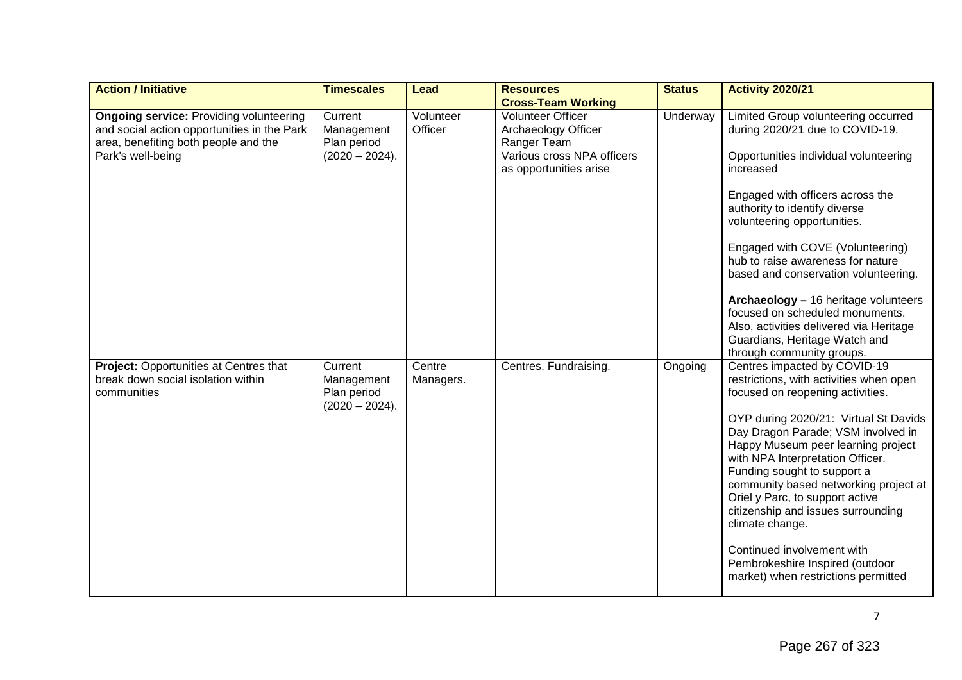| <b>Action / Initiative</b>                                                                                                                                 | <b>Timescales</b>                                        | Lead                 | <b>Resources</b>                                                                                                                                    | <b>Status</b> | <b>Activity 2020/21</b>                                                                                                                                                                                                                                                                                                                                                                                                                                                                                                                          |
|------------------------------------------------------------------------------------------------------------------------------------------------------------|----------------------------------------------------------|----------------------|-----------------------------------------------------------------------------------------------------------------------------------------------------|---------------|--------------------------------------------------------------------------------------------------------------------------------------------------------------------------------------------------------------------------------------------------------------------------------------------------------------------------------------------------------------------------------------------------------------------------------------------------------------------------------------------------------------------------------------------------|
| <b>Ongoing service: Providing volunteering</b><br>and social action opportunities in the Park<br>area, benefiting both people and the<br>Park's well-being | Current<br>Management<br>Plan period<br>$(2020 - 2024).$ | Volunteer<br>Officer | <b>Cross-Team Working</b><br><b>Volunteer Officer</b><br>Archaeology Officer<br>Ranger Team<br>Various cross NPA officers<br>as opportunities arise | Underway      | Limited Group volunteering occurred<br>during 2020/21 due to COVID-19.<br>Opportunities individual volunteering<br>increased<br>Engaged with officers across the<br>authority to identify diverse<br>volunteering opportunities.<br>Engaged with COVE (Volunteering)<br>hub to raise awareness for nature<br>based and conservation volunteering.<br>Archaeology - 16 heritage volunteers<br>focused on scheduled monuments.<br>Also, activities delivered via Heritage<br>Guardians, Heritage Watch and<br>through community groups.            |
| Project: Opportunities at Centres that<br>break down social isolation within<br>communities                                                                | Current<br>Management<br>Plan period<br>$(2020 - 2024).$ | Centre<br>Managers.  | Centres. Fundraising.                                                                                                                               | Ongoing       | Centres impacted by COVID-19<br>restrictions, with activities when open<br>focused on reopening activities.<br>OYP during 2020/21: Virtual St Davids<br>Day Dragon Parade; VSM involved in<br>Happy Museum peer learning project<br>with NPA Interpretation Officer.<br>Funding sought to support a<br>community based networking project at<br>Oriel y Parc, to support active<br>citizenship and issues surrounding<br>climate change.<br>Continued involvement with<br>Pembrokeshire Inspired (outdoor<br>market) when restrictions permitted |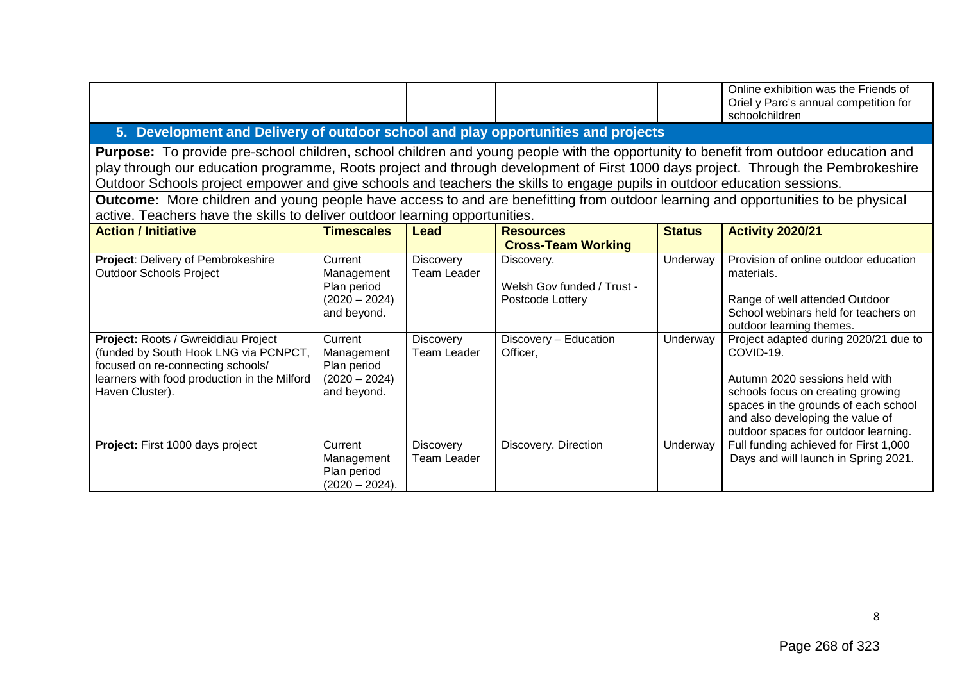|                                                                                                                                                                                                                                                                                                                                                                                                       |                                                                        |                                        |                                                              |               | Online exhibition was the Friends of<br>Oriel y Parc's annual competition for<br>schoolchildren                                                                                                                                               |  |  |  |  |  |
|-------------------------------------------------------------------------------------------------------------------------------------------------------------------------------------------------------------------------------------------------------------------------------------------------------------------------------------------------------------------------------------------------------|------------------------------------------------------------------------|----------------------------------------|--------------------------------------------------------------|---------------|-----------------------------------------------------------------------------------------------------------------------------------------------------------------------------------------------------------------------------------------------|--|--|--|--|--|
| 5. Development and Delivery of outdoor school and play opportunities and projects                                                                                                                                                                                                                                                                                                                     |                                                                        |                                        |                                                              |               |                                                                                                                                                                                                                                               |  |  |  |  |  |
| Purpose: To provide pre-school children, school children and young people with the opportunity to benefit from outdoor education and<br>play through our education programme, Roots project and through development of First 1000 days project. Through the Pembrokeshire<br>Outdoor Schools project empower and give schools and teachers the skills to engage pupils in outdoor education sessions. |                                                                        |                                        |                                                              |               |                                                                                                                                                                                                                                               |  |  |  |  |  |
| <b>Outcome:</b> More children and young people have access to and are benefitting from outdoor learning and opportunities to be physical<br>active. Teachers have the skills to deliver outdoor learning opportunities.                                                                                                                                                                               |                                                                        |                                        |                                                              |               |                                                                                                                                                                                                                                               |  |  |  |  |  |
| <b>Action / Initiative</b>                                                                                                                                                                                                                                                                                                                                                                            | <b>Timescales</b>                                                      | Lead                                   | <b>Resources</b><br><b>Cross-Team Working</b>                | <b>Status</b> | <b>Activity 2020/21</b>                                                                                                                                                                                                                       |  |  |  |  |  |
| Project: Delivery of Pembrokeshire<br><b>Outdoor Schools Project</b>                                                                                                                                                                                                                                                                                                                                  | Current<br>Management<br>Plan period<br>$(2020 - 2024)$<br>and beyond. | <b>Discovery</b><br><b>Team Leader</b> | Discovery.<br>Welsh Gov funded / Trust -<br>Postcode Lottery | Underway      | Provision of online outdoor education<br>materials.<br>Range of well attended Outdoor<br>School webinars held for teachers on<br>outdoor learning themes.                                                                                     |  |  |  |  |  |
| Project: Roots / Gwreiddiau Project<br>(funded by South Hook LNG via PCNPCT,<br>focused on re-connecting schools/<br>learners with food production in the Milford<br>Haven Cluster).                                                                                                                                                                                                                  | Current<br>Management<br>Plan period<br>$(2020 - 2024)$<br>and beyond. | <b>Discovery</b><br><b>Team Leader</b> | Discovery - Education<br>Officer,                            | Underway      | Project adapted during 2020/21 due to<br>COVID-19.<br>Autumn 2020 sessions held with<br>schools focus on creating growing<br>spaces in the grounds of each school<br>and also developing the value of<br>outdoor spaces for outdoor learning. |  |  |  |  |  |
| <b>Project:</b> First 1000 days project                                                                                                                                                                                                                                                                                                                                                               | Current<br>Management<br>Plan period<br>$(2020 - 2024).$               | <b>Discovery</b><br>Team Leader        | Discovery. Direction                                         | Underway      | Full funding achieved for First 1,000<br>Days and will launch in Spring 2021.                                                                                                                                                                 |  |  |  |  |  |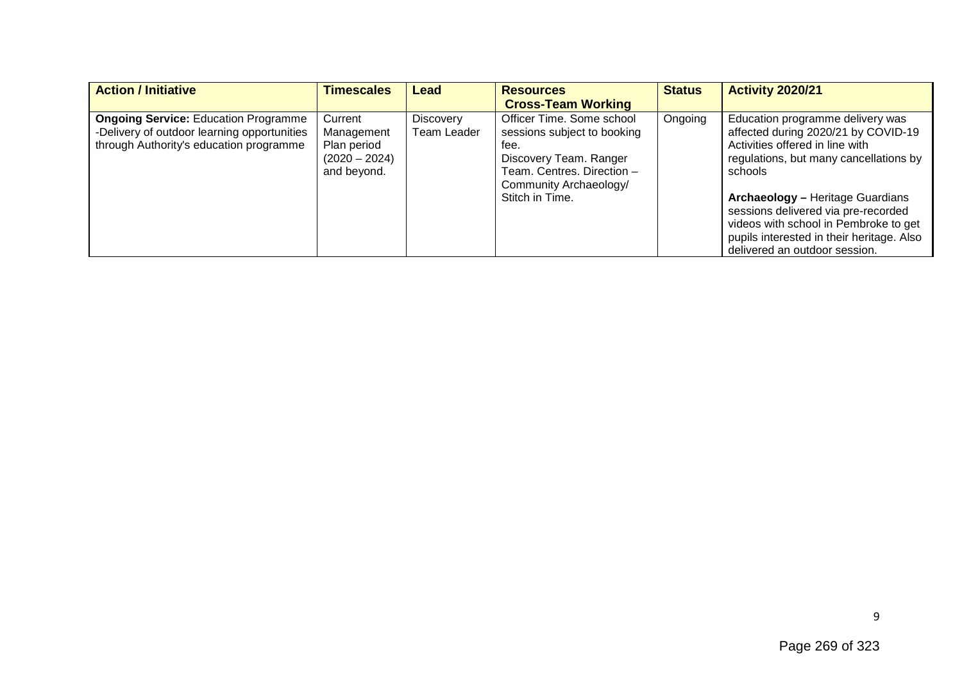| <b>Action / Initiative</b>                                                                                                            | <b>Timescales</b>                                                      | Lead                     | <b>Resources</b>                                                                                                                                                      | <b>Status</b> | <b>Activity 2020/21</b>                                                                                                                                                                                                                                                                                                                                                  |
|---------------------------------------------------------------------------------------------------------------------------------------|------------------------------------------------------------------------|--------------------------|-----------------------------------------------------------------------------------------------------------------------------------------------------------------------|---------------|--------------------------------------------------------------------------------------------------------------------------------------------------------------------------------------------------------------------------------------------------------------------------------------------------------------------------------------------------------------------------|
|                                                                                                                                       |                                                                        |                          | <b>Cross-Team Working</b>                                                                                                                                             |               |                                                                                                                                                                                                                                                                                                                                                                          |
| <b>Ongoing Service: Education Programme</b><br>-Delivery of outdoor learning opportunities<br>through Authority's education programme | Current<br>Management<br>Plan period<br>$(2020 - 2024)$<br>and beyond. | Discovery<br>Team Leader | Officer Time. Some school<br>sessions subject to booking<br>fee.<br>Discovery Team. Ranger<br>Team. Centres. Direction -<br>Community Archaeology/<br>Stitch in Time. | Ongoing       | Education programme delivery was<br>affected during 2020/21 by COVID-19<br>Activities offered in line with<br>regulations, but many cancellations by<br>schools<br><b>Archaeology - Heritage Guardians</b><br>sessions delivered via pre-recorded<br>videos with school in Pembroke to get<br>pupils interested in their heritage. Also<br>delivered an outdoor session. |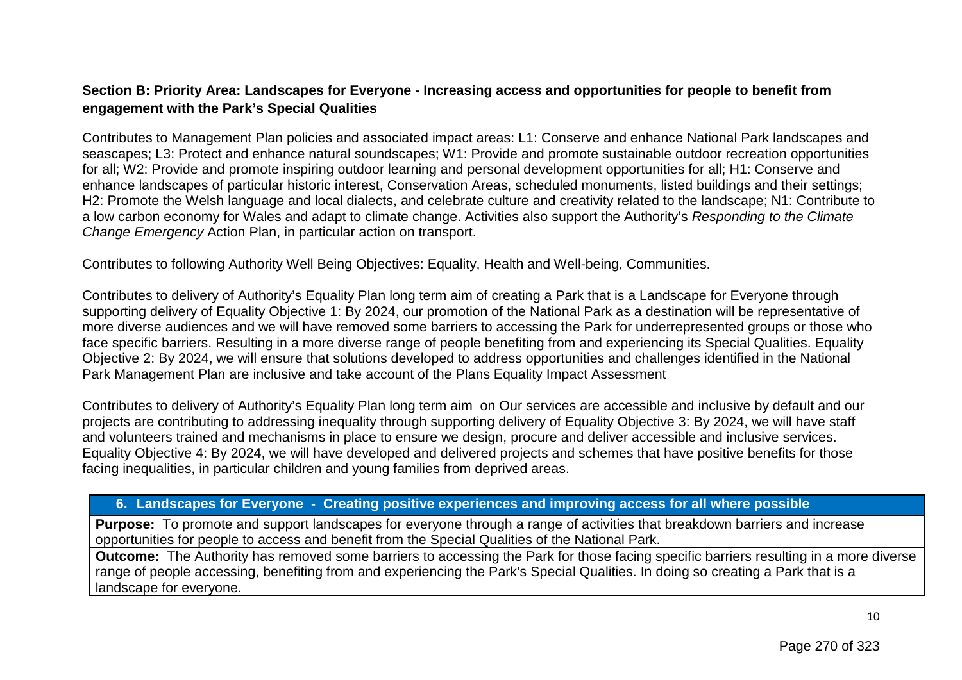## **Section B: Priority Area: Landscapes for Everyone - Increasing access and opportunities for people to benefit from engagement with the Park's Special Qualities**

Contributes to Management Plan policies and associated impact areas: L1: Conserve and enhance National Park landscapes and seascapes; L3: Protect and enhance natural soundscapes; W1: Provide and promote sustainable outdoor recreation opportunities for all; W2: Provide and promote inspiring outdoor learning and personal development opportunities for all; H1: Conserve and enhance landscapes of particular historic interest, Conservation Areas, scheduled monuments, listed buildings and their settings; H2: Promote the Welsh language and local dialects, and celebrate culture and creativity related to the landscape; N1: Contribute to a low carbon economy for Wales and adapt to climate change. Activities also support the Authority's *Responding to the Climate Change Emergency* Action Plan, in particular action on transport.

Contributes to following Authority Well Being Objectives: Equality, Health and Well-being, Communities.

Contributes to delivery of Authority's Equality Plan long term aim of creating a Park that is a Landscape for Everyone through supporting delivery of Equality Objective 1: By 2024, our promotion of the National Park as a destination will be representative of more diverse audiences and we will have removed some barriers to accessing the Park for underrepresented groups or those who face specific barriers. Resulting in a more diverse range of people benefiting from and experiencing its Special Qualities. Equality Objective 2: By 2024, we will ensure that solutions developed to address opportunities and challenges identified in the National Park Management Plan are inclusive and take account of the Plans Equality Impact Assessment

Contributes to delivery of Authority's Equality Plan long term aim on Our services are accessible and inclusive by default and our projects are contributing to addressing inequality through supporting delivery of Equality Objective 3: By 2024, we will have staff and volunteers trained and mechanisms in place to ensure we design, procure and deliver accessible and inclusive services. Equality Objective 4: By 2024, we will have developed and delivered projects and schemes that have positive benefits for those facing inequalities, in particular children and young families from deprived areas.

## **6. Landscapes for Everyone - Creating positive experiences and improving access for all where possible**

**Purpose:** To promote and support landscapes for everyone through a range of activities that breakdown barriers and increase opportunities for people to access and benefit from the Special Qualities of the National Park.

**Outcome:** The Authority has removed some barriers to accessing the Park for those facing specific barriers resulting in a more diverse range of people accessing, benefiting from and experiencing the Park's Special Qualities. In doing so creating a Park that is a landscape for everyone.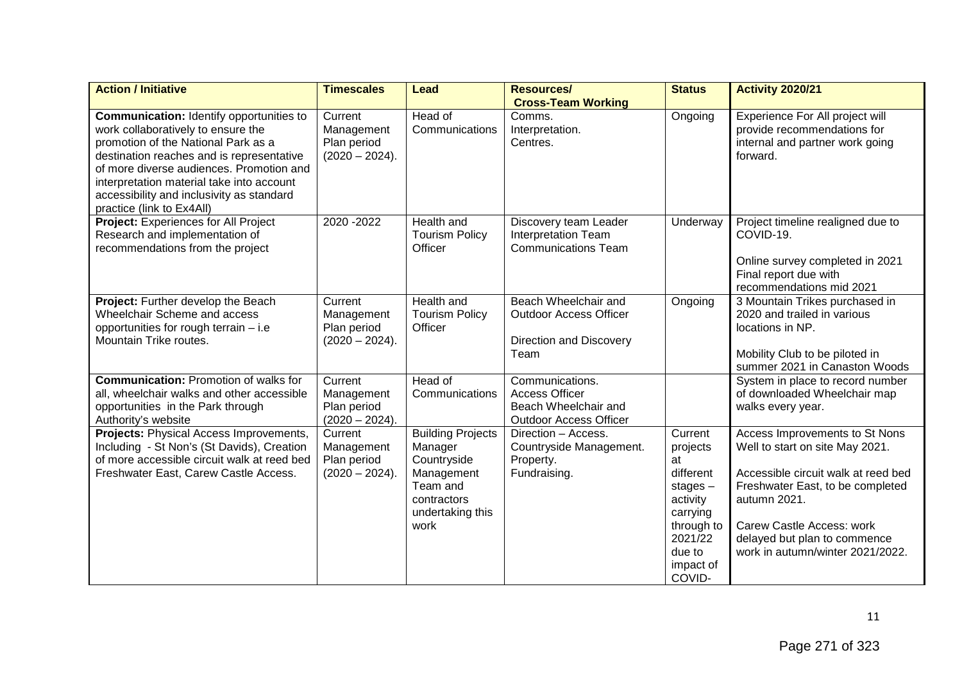| <b>Action / Initiative</b>                                                                                                                                                                                                                                                                                                                   | <b>Timescales</b>                                        | <b>Lead</b>                                                                                                             | <b>Resources/</b><br><b>Cross-Team Working</b>                                                    | <b>Status</b>                                                                                                                          | <b>Activity 2020/21</b>                                                                                                                                                                                                                                       |
|----------------------------------------------------------------------------------------------------------------------------------------------------------------------------------------------------------------------------------------------------------------------------------------------------------------------------------------------|----------------------------------------------------------|-------------------------------------------------------------------------------------------------------------------------|---------------------------------------------------------------------------------------------------|----------------------------------------------------------------------------------------------------------------------------------------|---------------------------------------------------------------------------------------------------------------------------------------------------------------------------------------------------------------------------------------------------------------|
| <b>Communication: Identify opportunities to</b><br>work collaboratively to ensure the<br>promotion of the National Park as a<br>destination reaches and is representative<br>of more diverse audiences. Promotion and<br>interpretation material take into account<br>accessibility and inclusivity as standard<br>practice (link to Ex4All) | Current<br>Management<br>Plan period<br>$(2020 - 2024).$ | Head of<br>Communications                                                                                               | Comms.<br>Interpretation.<br>Centres.                                                             | Ongoing                                                                                                                                | Experience For All project will<br>provide recommendations for<br>internal and partner work going<br>forward.                                                                                                                                                 |
| Project: Experiences for All Project<br>Research and implementation of<br>recommendations from the project                                                                                                                                                                                                                                   | 2020 - 2022                                              | Health and<br><b>Tourism Policy</b><br>Officer                                                                          | Discovery team Leader<br><b>Interpretation Team</b><br><b>Communications Team</b>                 | Underway                                                                                                                               | Project timeline realigned due to<br>COVID-19.<br>Online survey completed in 2021<br>Final report due with<br>recommendations mid 2021                                                                                                                        |
| Project: Further develop the Beach<br>Wheelchair Scheme and access<br>opportunities for rough terrain - i.e<br>Mountain Trike routes.                                                                                                                                                                                                        | Current<br>Management<br>Plan period<br>$(2020 - 2024).$ | <b>Health and</b><br><b>Tourism Policy</b><br>Officer                                                                   | Beach Wheelchair and<br><b>Outdoor Access Officer</b><br><b>Direction and Discovery</b><br>Team   | Ongoing                                                                                                                                | 3 Mountain Trikes purchased in<br>2020 and trailed in various<br>locations in NP.<br>Mobility Club to be piloted in<br>summer 2021 in Canaston Woods                                                                                                          |
| <b>Communication: Promotion of walks for</b><br>all, wheelchair walks and other accessible<br>opportunities in the Park through<br>Authority's website                                                                                                                                                                                       | Current<br>Management<br>Plan period<br>$(2020 - 2024).$ | Head of<br>Communications                                                                                               | Communications.<br><b>Access Officer</b><br>Beach Wheelchair and<br><b>Outdoor Access Officer</b> |                                                                                                                                        | System in place to record number<br>of downloaded Wheelchair map<br>walks every year.                                                                                                                                                                         |
| Projects: Physical Access Improvements,<br>Including - St Non's (St Davids), Creation<br>of more accessible circuit walk at reed bed<br>Freshwater East, Carew Castle Access.                                                                                                                                                                | Current<br>Management<br>Plan period<br>$(2020 - 2024).$ | <b>Building Projects</b><br>Manager<br>Countryside<br>Management<br>Team and<br>contractors<br>undertaking this<br>work | Direction - Access.<br>Countryside Management.<br>Property.<br>Fundraising.                       | Current<br>projects<br>at<br>different<br>stages $-$<br>activity<br>carrying<br>through to<br>2021/22<br>due to<br>impact of<br>COVID- | Access Improvements to St Nons<br>Well to start on site May 2021.<br>Accessible circuit walk at reed bed<br>Freshwater East, to be completed<br>autumn 2021.<br>Carew Castle Access: work<br>delayed but plan to commence<br>work in autumn/winter 2021/2022. |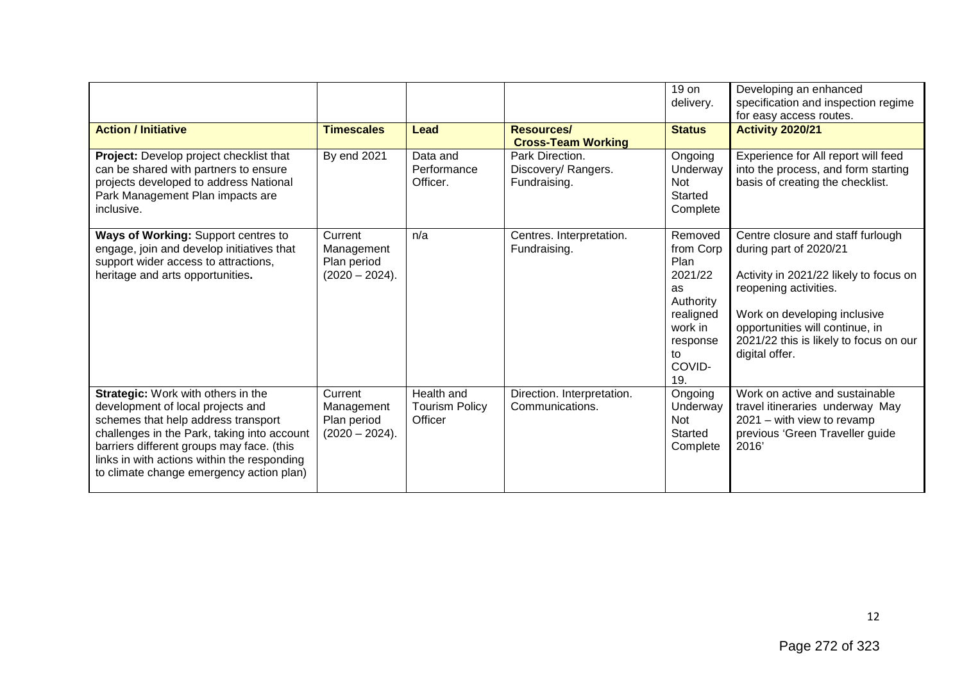|                                                                                                                                                                                                                                                                                                       |                                                          |                                                |                                                        | 19 on<br>delivery.                                                                                                           | Developing an enhanced<br>specification and inspection regime<br>for easy access routes.                                                                                                                                                                      |
|-------------------------------------------------------------------------------------------------------------------------------------------------------------------------------------------------------------------------------------------------------------------------------------------------------|----------------------------------------------------------|------------------------------------------------|--------------------------------------------------------|------------------------------------------------------------------------------------------------------------------------------|---------------------------------------------------------------------------------------------------------------------------------------------------------------------------------------------------------------------------------------------------------------|
| <b>Action / Initiative</b>                                                                                                                                                                                                                                                                            | <b>Timescales</b>                                        | <b>Lead</b>                                    | Resources/<br><b>Cross-Team Working</b>                | <b>Status</b>                                                                                                                | <b>Activity 2020/21</b>                                                                                                                                                                                                                                       |
| Project: Develop project checklist that<br>can be shared with partners to ensure<br>projects developed to address National<br>Park Management Plan impacts are<br>inclusive.                                                                                                                          | By end 2021                                              | Data and<br>Performance<br>Officer.            | Park Direction.<br>Discovery/ Rangers.<br>Fundraising. | Ongoing<br>Underway<br><b>Not</b><br>Started<br>Complete                                                                     | Experience for All report will feed<br>into the process, and form starting<br>basis of creating the checklist.                                                                                                                                                |
| Ways of Working: Support centres to<br>engage, join and develop initiatives that<br>support wider access to attractions,<br>heritage and arts opportunities.                                                                                                                                          | Current<br>Management<br>Plan period<br>$(2020 - 2024).$ | n/a                                            | Centres. Interpretation.<br>Fundraising.               | Removed<br>from Corp<br>Plan<br>2021/22<br><b>as</b><br>Authority<br>realigned<br>work in<br>response<br>to<br>COVID-<br>19. | Centre closure and staff furlough<br>during part of 2020/21<br>Activity in 2021/22 likely to focus on<br>reopening activities.<br>Work on developing inclusive<br>opportunities will continue, in<br>2021/22 this is likely to focus on our<br>digital offer. |
| Strategic: Work with others in the<br>development of local projects and<br>schemes that help address transport<br>challenges in the Park, taking into account<br>barriers different groups may face. (this<br>links in with actions within the responding<br>to climate change emergency action plan) | Current<br>Management<br>Plan period<br>$(2020 - 2024).$ | Health and<br><b>Tourism Policy</b><br>Officer | Direction. Interpretation.<br>Communications.          | Ongoing<br>Underway<br>Not<br>Started<br>Complete                                                                            | Work on active and sustainable<br>travel itineraries underway May<br>$2021 -$ with view to revamp<br>previous 'Green Traveller guide<br>2016                                                                                                                  |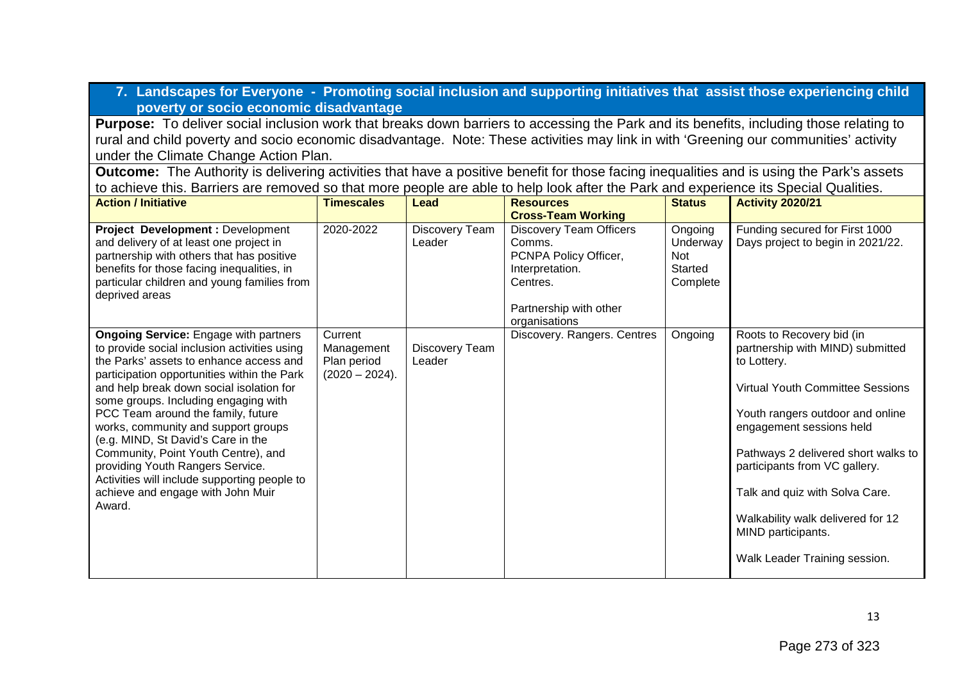**7. Landscapes for Everyone - Promoting social inclusion and supporting initiatives that assist those experiencing child poverty or socio economic disadvantage**

**Purpose:** To deliver social inclusion work that breaks down barriers to accessing the Park and its benefits, including those relating to rural and child poverty and socio economic disadvantage. Note: These activities may link in with 'Greening our communities' activity under the Climate Change Action Plan.

**Outcome:** The Authority is delivering activities that have a positive benefit for those facing inequalities and is using the Park's assets to achieve this. Barriers are removed so that more people are able to help look after the Park and experience its Special Qualities.

| <b>Action / Initiative</b>                                                                                                                                                                                                                                                                                                                                                                                                                                                                                                                                              | <b>Timescales</b>                                         | Lead                     | <b>Resources</b>                                                                                                                            | <b>Status</b>                                     | <b>Activity 2020/21</b>                                                                                                                                                                                                                                                                                                                                                                       |
|-------------------------------------------------------------------------------------------------------------------------------------------------------------------------------------------------------------------------------------------------------------------------------------------------------------------------------------------------------------------------------------------------------------------------------------------------------------------------------------------------------------------------------------------------------------------------|-----------------------------------------------------------|--------------------------|---------------------------------------------------------------------------------------------------------------------------------------------|---------------------------------------------------|-----------------------------------------------------------------------------------------------------------------------------------------------------------------------------------------------------------------------------------------------------------------------------------------------------------------------------------------------------------------------------------------------|
|                                                                                                                                                                                                                                                                                                                                                                                                                                                                                                                                                                         |                                                           |                          | <b>Cross-Team Working</b>                                                                                                                   |                                                   |                                                                                                                                                                                                                                                                                                                                                                                               |
| <b>Project Development: Development</b><br>and delivery of at least one project in<br>partnership with others that has positive<br>benefits for those facing inequalities, in<br>particular children and young families from<br>deprived areas                                                                                                                                                                                                                                                                                                                          | 2020-2022                                                 | Discovery Team<br>Leader | <b>Discovery Team Officers</b><br>Comms.<br>PCNPA Policy Officer,<br>Interpretation.<br>Centres.<br>Partnership with other<br>organisations | Ongoing<br>Underway<br>Not<br>Started<br>Complete | Funding secured for First 1000<br>Days project to begin in 2021/22.                                                                                                                                                                                                                                                                                                                           |
| <b>Ongoing Service:</b> Engage with partners<br>to provide social inclusion activities using<br>the Parks' assets to enhance access and<br>participation opportunities within the Park<br>and help break down social isolation for<br>some groups. Including engaging with<br>PCC Team around the family, future<br>works, community and support groups<br>(e.g. MIND, St David's Care in the<br>Community, Point Youth Centre), and<br>providing Youth Rangers Service.<br>Activities will include supporting people to<br>achieve and engage with John Muir<br>Award. | Current<br>Management<br>Plan period<br>$(2020 - 2024)$ . | Discovery Team<br>Leader | Discovery. Rangers. Centres                                                                                                                 | Ongoing                                           | Roots to Recovery bid (in<br>partnership with MIND) submitted<br>to Lottery.<br><b>Virtual Youth Committee Sessions</b><br>Youth rangers outdoor and online<br>engagement sessions held<br>Pathways 2 delivered short walks to<br>participants from VC gallery.<br>Talk and quiz with Solva Care.<br>Walkability walk delivered for 12<br>MIND participants.<br>Walk Leader Training session. |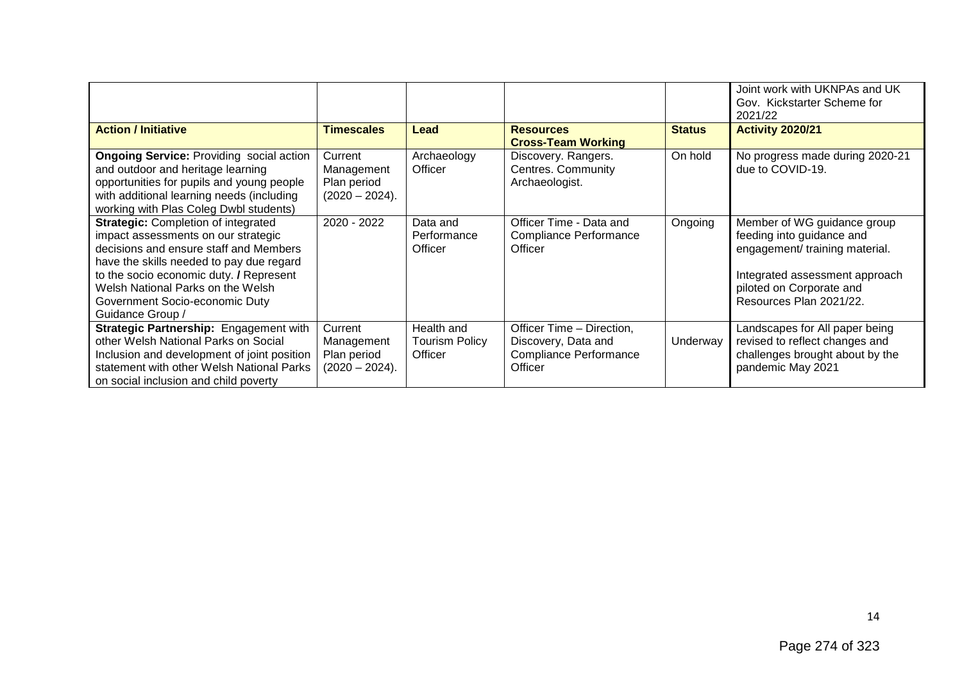|                                                                                                                                                                                                                                                                                                               |                                                          |                                                |                                                                                       |               | Joint work with UKNPAs and UK<br>Gov. Kickstarter Scheme for<br>2021/22                                                                                                             |
|---------------------------------------------------------------------------------------------------------------------------------------------------------------------------------------------------------------------------------------------------------------------------------------------------------------|----------------------------------------------------------|------------------------------------------------|---------------------------------------------------------------------------------------|---------------|-------------------------------------------------------------------------------------------------------------------------------------------------------------------------------------|
| <b>Action / Initiative</b>                                                                                                                                                                                                                                                                                    | <b>Timescales</b>                                        | Lead                                           | <b>Resources</b><br><b>Cross-Team Working</b>                                         | <b>Status</b> | <b>Activity 2020/21</b>                                                                                                                                                             |
| <b>Ongoing Service: Providing social action</b><br>and outdoor and heritage learning<br>opportunities for pupils and young people<br>with additional learning needs (including<br>working with Plas Coleg Dwbl students)                                                                                      | Current<br>Management<br>Plan period<br>$(2020 - 2024).$ | Archaeology<br>Officer                         | Discovery. Rangers.<br>Centres. Community<br>Archaeologist.                           | On hold       | No progress made during 2020-21<br>due to COVID-19.                                                                                                                                 |
| <b>Strategic: Completion of integrated</b><br>impact assessments on our strategic<br>decisions and ensure staff and Members<br>have the skills needed to pay due regard<br>to the socio economic duty. / Represent<br>Welsh National Parks on the Welsh<br>Government Socio-economic Duty<br>Guidance Group / | 2020 - 2022                                              | Data and<br>Performance<br>Officer             | Officer Time - Data and<br><b>Compliance Performance</b><br>Officer                   | Ongoing       | Member of WG guidance group<br>feeding into guidance and<br>engagement/ training material.<br>Integrated assessment approach<br>piloted on Corporate and<br>Resources Plan 2021/22. |
| Strategic Partnership: Engagement with<br>other Welsh National Parks on Social<br>Inclusion and development of joint position<br>statement with other Welsh National Parks<br>on social inclusion and child poverty                                                                                           | Current<br>Management<br>Plan period<br>$(2020 - 2024).$ | Health and<br><b>Tourism Policy</b><br>Officer | Officer Time - Direction,<br>Discovery, Data and<br>Compliance Performance<br>Officer | Underway      | Landscapes for All paper being<br>revised to reflect changes and<br>challenges brought about by the<br>pandemic May 2021                                                            |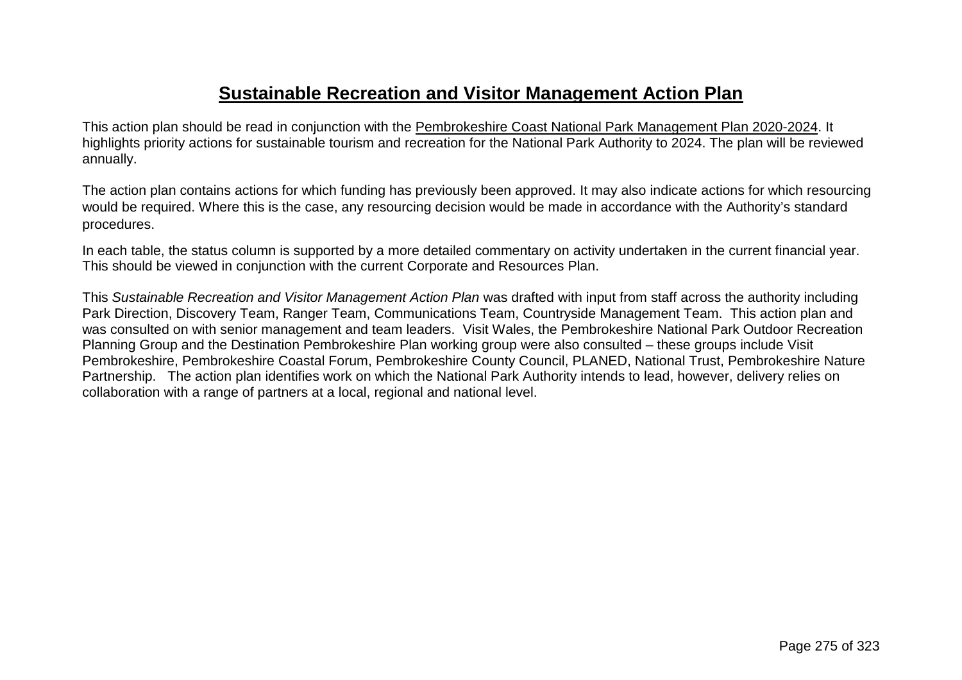## **Sustainable Recreation and Visitor Management Action Plan**

This action plan should be read in conjunction with the [Pembrokeshire Coast National Park Management Plan 2020-2024.](https://www.pembrokeshirecoast.wales/wp-content/uploads/2021/04/National-Park-Management-Plan-2020-2024-Eng.pdf) It highlights priority actions for sustainable tourism and recreation for the National Park Authority to 2024. The plan will be reviewed annually.

The action plan contains actions for which funding has previously been approved. It may also indicate actions for which resourcing would be required. Where this is the case, any resourcing decision would be made in accordance with the Authority's standard procedures.

In each table, the status column is supported by a more detailed commentary on activity undertaken in the current financial year. This should be viewed in conjunction with the current Corporate and Resources Plan.

This *Sustainable Recreation and Visitor Management Action Plan* was drafted with input from staff across the authority including Park Direction, Discovery Team, Ranger Team, Communications Team, Countryside Management Team. This action plan and was consulted on with senior management and team leaders. Visit Wales, the Pembrokeshire National Park Outdoor Recreation Planning Group and the Destination Pembrokeshire Plan working group were also consulted – these groups include Visit Pembrokeshire, Pembrokeshire Coastal Forum, Pembrokeshire County Council, PLANED, National Trust, Pembrokeshire Nature Partnership. The action plan identifies work on which the National Park Authority intends to lead, however, delivery relies on collaboration with a range of partners at a local, regional and national level.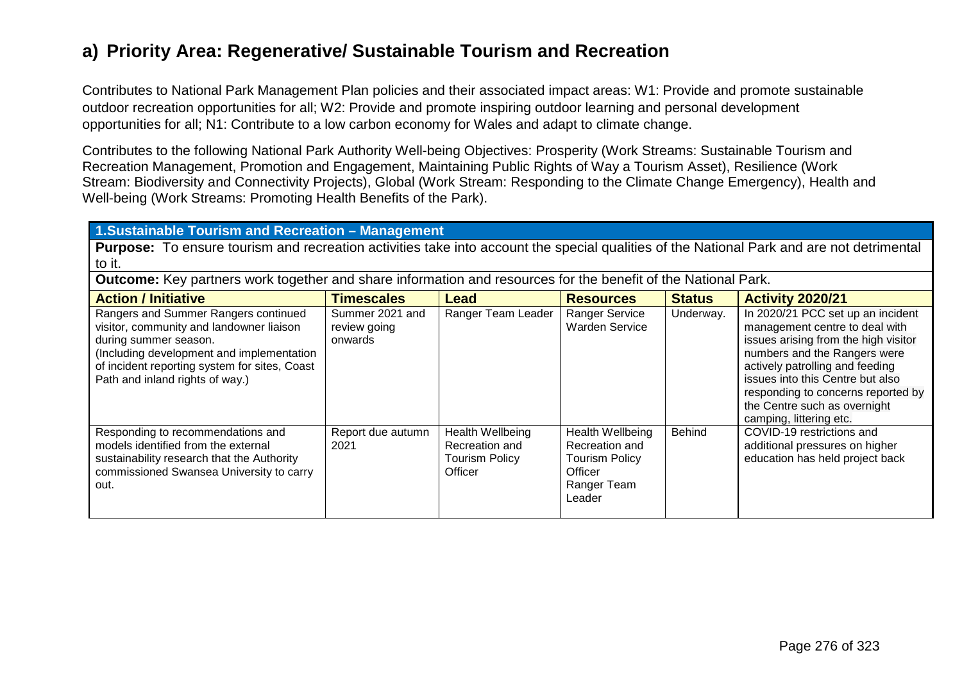## **a) Priority Area: Regenerative/ Sustainable Tourism and Recreation**

Contributes to National Park Management Plan policies and their associated impact areas: W1: Provide and promote sustainable outdoor recreation opportunities for all; W2: Provide and promote inspiring outdoor learning and personal development opportunities for all; N1: Contribute to a low carbon economy for Wales and adapt to climate change.

Contributes to the following National Park Authority Well-being Objectives: Prosperity (Work Streams: Sustainable Tourism and Recreation Management, Promotion and Engagement, Maintaining Public Rights of Way a Tourism Asset), Resilience (Work Stream: Biodiversity and Connectivity Projects), Global (Work Stream: Responding to the Climate Change Emergency), Health and Well-being (Work Streams: Promoting Health Benefits of the Park).

#### **1.Sustainable Tourism and Recreation – Management**

**Purpose:** To ensure tourism and recreation activities take into account the special qualities of the National Park and are not detrimental to it.

**Outcome:** Key partners work together and share information and resources for the benefit of the National Park.

| <b>Action / Initiative</b>                                                                                                                                                                                                                 | <b>Timescales</b>                          | Lead                                                                          | <b>Resources</b>                                                                                | <b>Status</b> | <b>Activity 2020/21</b>                                                                                                                                                                                                                                                                                             |
|--------------------------------------------------------------------------------------------------------------------------------------------------------------------------------------------------------------------------------------------|--------------------------------------------|-------------------------------------------------------------------------------|-------------------------------------------------------------------------------------------------|---------------|---------------------------------------------------------------------------------------------------------------------------------------------------------------------------------------------------------------------------------------------------------------------------------------------------------------------|
| Rangers and Summer Rangers continued<br>visitor, community and landowner liaison<br>during summer season.<br>(Including development and implementation<br>of incident reporting system for sites, Coast<br>Path and inland rights of way.) | Summer 2021 and<br>review going<br>onwards | Ranger Team Leader                                                            | <b>Ranger Service</b><br><b>Warden Service</b>                                                  | Underway.     | In 2020/21 PCC set up an incident<br>management centre to deal with<br>issues arising from the high visitor<br>numbers and the Rangers were<br>actively patrolling and feeding<br>issues into this Centre but also<br>responding to concerns reported by<br>the Centre such as overnight<br>camping, littering etc. |
| Responding to recommendations and<br>models identified from the external<br>sustainability research that the Authority<br>commissioned Swansea University to carry<br>out.                                                                 | Report due autumn<br>2021                  | <b>Health Wellbeing</b><br>Recreation and<br><b>Tourism Policy</b><br>Officer | Health Wellbeing<br>Recreation and<br><b>Tourism Policy</b><br>Officer<br>Ranger Team<br>Leader | <b>Behind</b> | COVID-19 restrictions and<br>additional pressures on higher<br>education has held project back                                                                                                                                                                                                                      |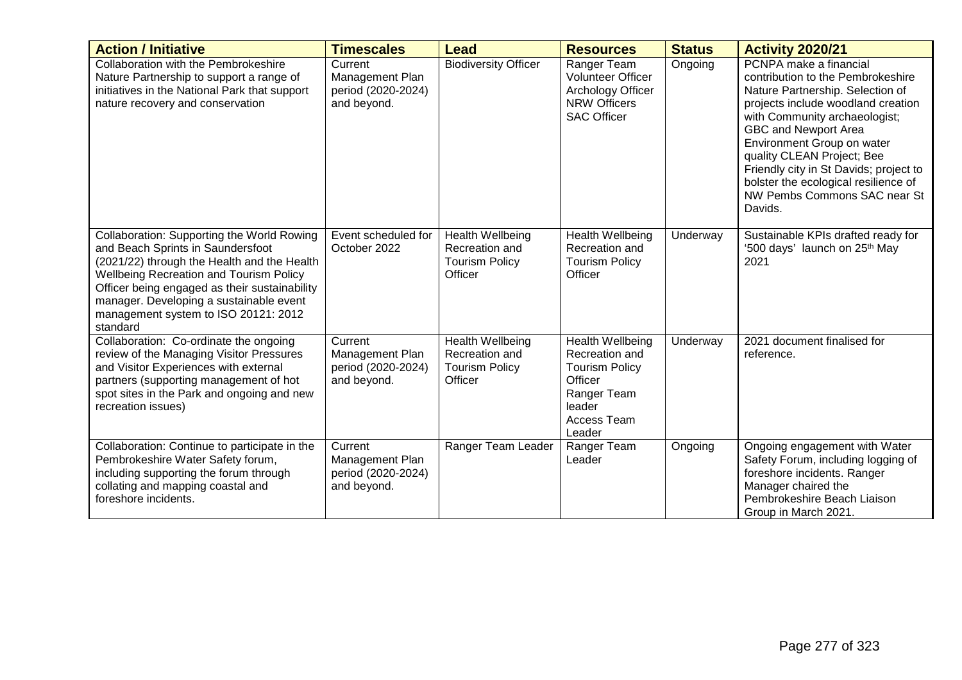| <b>Action / Initiative</b>                                                                                                                                                                                                                                                                                                       | <b>Timescales</b>                                               | <b>Lead</b>                                                                   | <b>Resources</b>                                                                                                                       | <b>Status</b> | <b>Activity 2020/21</b>                                                                                                                                                                                                                                                                                                                                                                 |
|----------------------------------------------------------------------------------------------------------------------------------------------------------------------------------------------------------------------------------------------------------------------------------------------------------------------------------|-----------------------------------------------------------------|-------------------------------------------------------------------------------|----------------------------------------------------------------------------------------------------------------------------------------|---------------|-----------------------------------------------------------------------------------------------------------------------------------------------------------------------------------------------------------------------------------------------------------------------------------------------------------------------------------------------------------------------------------------|
| Collaboration with the Pembrokeshire<br>Nature Partnership to support a range of<br>initiatives in the National Park that support<br>nature recovery and conservation                                                                                                                                                            | Current<br>Management Plan<br>period (2020-2024)<br>and beyond. | <b>Biodiversity Officer</b>                                                   | Ranger Team<br><b>Volunteer Officer</b><br>Archology Officer<br><b>NRW Officers</b><br><b>SAC Officer</b>                              | Ongoing       | PCNPA make a financial<br>contribution to the Pembrokeshire<br>Nature Partnership. Selection of<br>projects include woodland creation<br>with Community archaeologist;<br>GBC and Newport Area<br>Environment Group on water<br>quality CLEAN Project; Bee<br>Friendly city in St Davids; project to<br>bolster the ecological resilience of<br>NW Pembs Commons SAC near St<br>Davids. |
| Collaboration: Supporting the World Rowing<br>and Beach Sprints in Saundersfoot<br>(2021/22) through the Health and the Health<br><b>Wellbeing Recreation and Tourism Policy</b><br>Officer being engaged as their sustainability<br>manager. Developing a sustainable event<br>management system to ISO 20121: 2012<br>standard | Event scheduled for<br>October 2022                             | <b>Health Wellbeing</b><br>Recreation and<br><b>Tourism Policy</b><br>Officer | <b>Health Wellbeing</b><br>Recreation and<br><b>Tourism Policy</b><br>Officer                                                          | Underway      | Sustainable KPIs drafted ready for<br>'500 days' launch on 25 <sup>th</sup> May<br>2021                                                                                                                                                                                                                                                                                                 |
| Collaboration: Co-ordinate the ongoing<br>review of the Managing Visitor Pressures<br>and Visitor Experiences with external<br>partners (supporting management of hot<br>spot sites in the Park and ongoing and new<br>recreation issues)                                                                                        | Current<br>Management Plan<br>period (2020-2024)<br>and beyond. | Health Wellbeing<br>Recreation and<br><b>Tourism Policy</b><br>Officer        | <b>Health Wellbeing</b><br>Recreation and<br><b>Tourism Policy</b><br>Officer<br>Ranger Team<br>leader<br><b>Access Team</b><br>Leader | Underway      | 2021 document finalised for<br>reference.                                                                                                                                                                                                                                                                                                                                               |
| Collaboration: Continue to participate in the<br>Pembrokeshire Water Safety forum,<br>including supporting the forum through<br>collating and mapping coastal and<br>foreshore incidents.                                                                                                                                        | Current<br>Management Plan<br>period (2020-2024)<br>and beyond. | Ranger Team Leader                                                            | Ranger Team<br>Leader                                                                                                                  | Ongoing       | Ongoing engagement with Water<br>Safety Forum, including logging of<br>foreshore incidents. Ranger<br>Manager chaired the<br>Pembrokeshire Beach Liaison<br>Group in March 2021.                                                                                                                                                                                                        |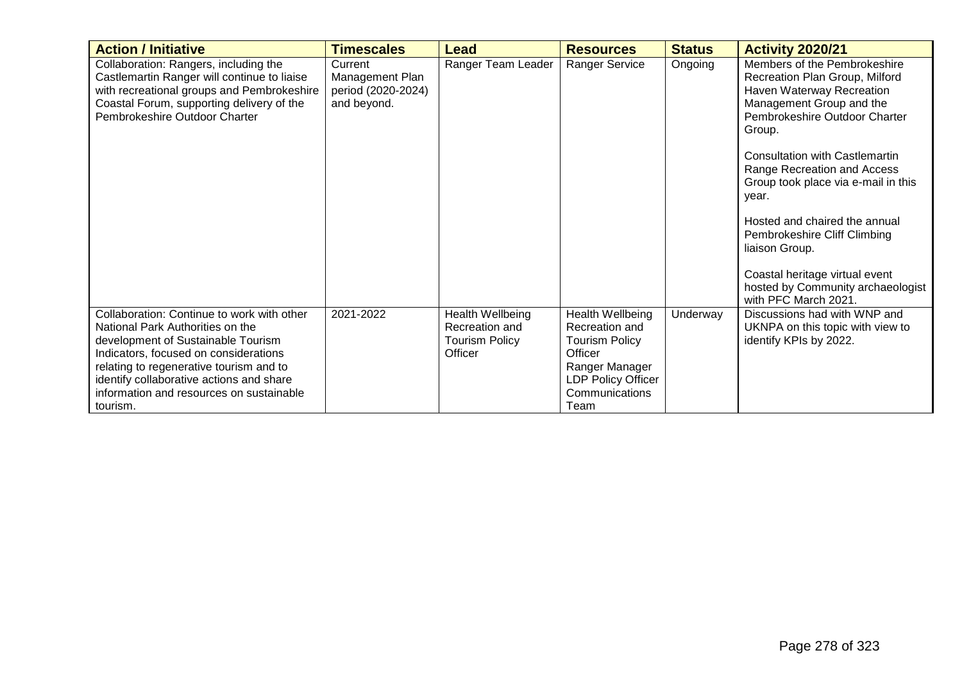| <b>Action / Initiative</b>                                                                                                                                                                                                                                                                                   | <b>Timescales</b>                                               | Lead                                                                   | <b>Resources</b>                                                                                                                                | <b>Status</b> | <b>Activity 2020/21</b>                                                                                                                                                                                                                                                                                                                                                                                                                                                      |
|--------------------------------------------------------------------------------------------------------------------------------------------------------------------------------------------------------------------------------------------------------------------------------------------------------------|-----------------------------------------------------------------|------------------------------------------------------------------------|-------------------------------------------------------------------------------------------------------------------------------------------------|---------------|------------------------------------------------------------------------------------------------------------------------------------------------------------------------------------------------------------------------------------------------------------------------------------------------------------------------------------------------------------------------------------------------------------------------------------------------------------------------------|
| Collaboration: Rangers, including the<br>Castlemartin Ranger will continue to liaise<br>with recreational groups and Pembrokeshire<br>Coastal Forum, supporting delivery of the<br>Pembrokeshire Outdoor Charter                                                                                             | Current<br>Management Plan<br>period (2020-2024)<br>and beyond. | Ranger Team Leader                                                     | <b>Ranger Service</b>                                                                                                                           | Ongoing       | Members of the Pembrokeshire<br>Recreation Plan Group, Milford<br>Haven Waterway Recreation<br>Management Group and the<br>Pembrokeshire Outdoor Charter<br>Group.<br><b>Consultation with Castlemartin</b><br>Range Recreation and Access<br>Group took place via e-mail in this<br>year.<br>Hosted and chaired the annual<br>Pembrokeshire Cliff Climbing<br>liaison Group.<br>Coastal heritage virtual event<br>hosted by Community archaeologist<br>with PFC March 2021. |
| Collaboration: Continue to work with other<br>National Park Authorities on the<br>development of Sustainable Tourism<br>Indicators, focused on considerations<br>relating to regenerative tourism and to<br>identify collaborative actions and share<br>information and resources on sustainable<br>tourism. | 2021-2022                                                       | Health Wellbeing<br>Recreation and<br><b>Tourism Policy</b><br>Officer | Health Wellbeing<br>Recreation and<br><b>Tourism Policy</b><br>Officer<br>Ranger Manager<br><b>LDP Policy Officer</b><br>Communications<br>Team | Underway      | Discussions had with WNP and<br>UKNPA on this topic with view to<br>identify KPIs by 2022.                                                                                                                                                                                                                                                                                                                                                                                   |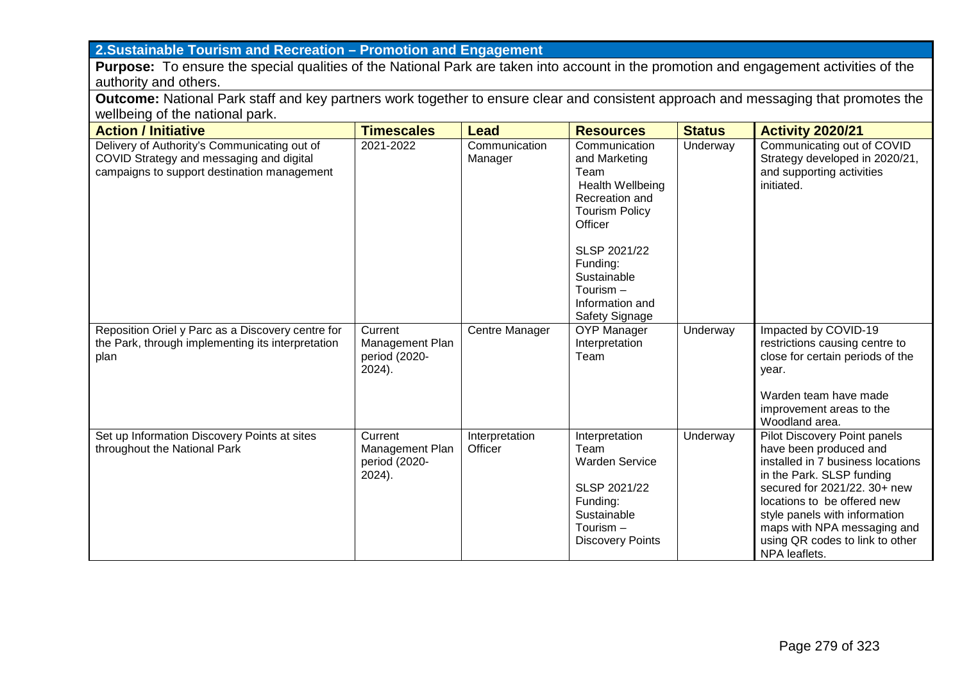## **2.Sustainable Tourism and Recreation – Promotion and Engagement**

**Purpose:** To ensure the special qualities of the National Park are taken into account in the promotion and engagement activities of the authority and others.

**Outcome:** National Park staff and key partners work together to ensure clear and consistent approach and messaging that promotes the wellbeing of the national park.

| <b>Action / Initiative</b>                                                                                                              | <b>Timescales</b>                                        | <b>Lead</b>               | <b>Resources</b>                                                                                                                                                                                                              | <b>Status</b> | <b>Activity 2020/21</b>                                                                                                                                                                                                                                                                                     |
|-----------------------------------------------------------------------------------------------------------------------------------------|----------------------------------------------------------|---------------------------|-------------------------------------------------------------------------------------------------------------------------------------------------------------------------------------------------------------------------------|---------------|-------------------------------------------------------------------------------------------------------------------------------------------------------------------------------------------------------------------------------------------------------------------------------------------------------------|
| Delivery of Authority's Communicating out of<br>COVID Strategy and messaging and digital<br>campaigns to support destination management | 2021-2022                                                | Communication<br>Manager  | Communication<br>and Marketing<br>Team<br><b>Health Wellbeing</b><br>Recreation and<br><b>Tourism Policy</b><br>Officer<br>SLSP 2021/22<br>Funding:<br>Sustainable<br>Tourism $-$<br>Information and<br><b>Safety Signage</b> | Underway      | Communicating out of COVID<br>Strategy developed in 2020/21,<br>and supporting activities<br>initiated.                                                                                                                                                                                                     |
| Reposition Oriel y Parc as a Discovery centre for<br>the Park, through implementing its interpretation<br>plan                          | Current<br>Management Plan<br>period (2020-<br>$2024$ ). | Centre Manager            | <b>OYP Manager</b><br>Interpretation<br>Team                                                                                                                                                                                  | Underway      | Impacted by COVID-19<br>restrictions causing centre to<br>close for certain periods of the<br>year.<br>Warden team have made<br>improvement areas to the<br>Woodland area.                                                                                                                                  |
| Set up Information Discovery Points at sites<br>throughout the National Park                                                            | Current<br>Management Plan<br>period (2020-<br>2024).    | Interpretation<br>Officer | Interpretation<br>Team<br><b>Warden Service</b><br>SLSP 2021/22<br>Funding:<br>Sustainable<br>Tourism $-$<br><b>Discovery Points</b>                                                                                          | Underway      | Pilot Discovery Point panels<br>have been produced and<br>installed in 7 business locations<br>in the Park. SLSP funding<br>secured for 2021/22. 30+ new<br>locations to be offered new<br>style panels with information<br>maps with NPA messaging and<br>using QR codes to link to other<br>NPA leaflets. |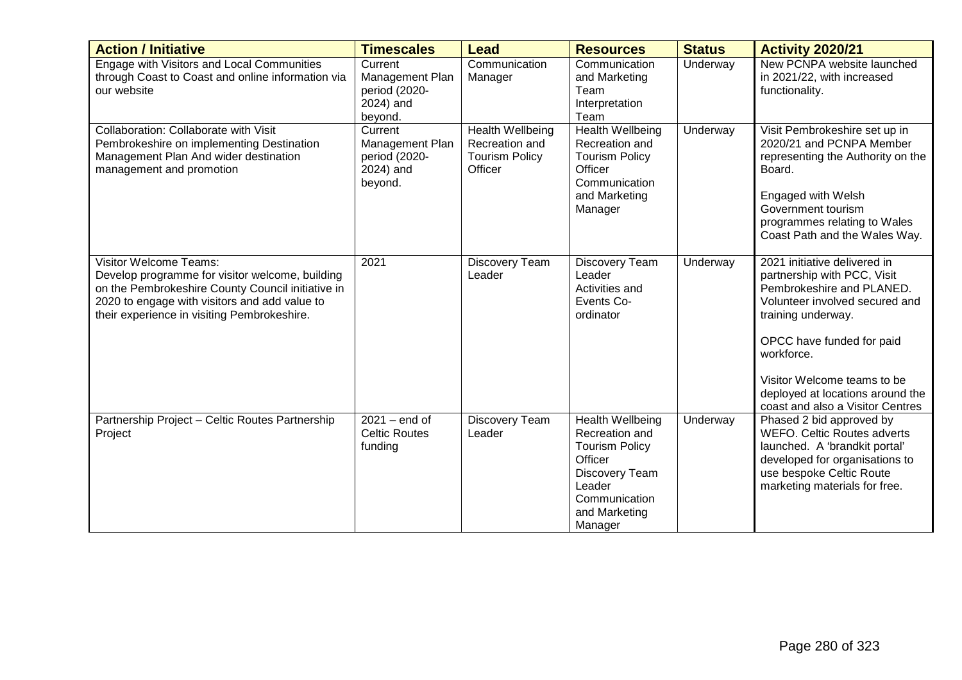| <b>Action / Initiative</b>                                                                                                                                                                                                            | <b>Timescales</b>                                                   | <b>Lead</b>                                                                   | <b>Resources</b>                                                                                                                                       | <b>Status</b> | <b>Activity 2020/21</b>                                                                                                                                                                                                                                                                            |
|---------------------------------------------------------------------------------------------------------------------------------------------------------------------------------------------------------------------------------------|---------------------------------------------------------------------|-------------------------------------------------------------------------------|--------------------------------------------------------------------------------------------------------------------------------------------------------|---------------|----------------------------------------------------------------------------------------------------------------------------------------------------------------------------------------------------------------------------------------------------------------------------------------------------|
| Engage with Visitors and Local Communities<br>through Coast to Coast and online information via<br>our website                                                                                                                        | Current<br>Management Plan<br>period (2020-<br>2024) and<br>beyond. | Communication<br>Manager                                                      | Communication<br>and Marketing<br>Team<br>Interpretation<br>Team                                                                                       | Underway      | New PCNPA website launched<br>in 2021/22, with increased<br>functionality.                                                                                                                                                                                                                         |
| Collaboration: Collaborate with Visit<br>Pembrokeshire on implementing Destination<br>Management Plan And wider destination<br>management and promotion                                                                               | Current<br>Management Plan<br>period (2020-<br>2024) and<br>beyond. | <b>Health Wellbeing</b><br>Recreation and<br><b>Tourism Policy</b><br>Officer | <b>Health Wellbeing</b><br>Recreation and<br><b>Tourism Policy</b><br>Officer<br>Communication<br>and Marketing<br>Manager                             | Underway      | Visit Pembrokeshire set up in<br>2020/21 and PCNPA Member<br>representing the Authority on the<br>Board.<br>Engaged with Welsh<br>Government tourism<br>programmes relating to Wales<br>Coast Path and the Wales Way.                                                                              |
| <b>Visitor Welcome Teams:</b><br>Develop programme for visitor welcome, building<br>on the Pembrokeshire County Council initiative in<br>2020 to engage with visitors and add value to<br>their experience in visiting Pembrokeshire. | 2021                                                                | Discovery Team<br>Leader                                                      | Discovery Team<br>Leader<br>Activities and<br>Events Co-<br>ordinator                                                                                  | Underway      | 2021 initiative delivered in<br>partnership with PCC, Visit<br>Pembrokeshire and PLANED.<br>Volunteer involved secured and<br>training underway.<br>OPCC have funded for paid<br>workforce.<br>Visitor Welcome teams to be<br>deployed at locations around the<br>coast and also a Visitor Centres |
| Partnership Project - Celtic Routes Partnership<br>Project                                                                                                                                                                            | $2021 - end$ of<br><b>Celtic Routes</b><br>funding                  | Discovery Team<br>Leader                                                      | <b>Health Wellbeing</b><br>Recreation and<br><b>Tourism Policy</b><br>Officer<br>Discovery Team<br>Leader<br>Communication<br>and Marketing<br>Manager | Underway      | Phased 2 bid approved by<br><b>WEFO. Celtic Routes adverts</b><br>launched. A 'brandkit portal'<br>developed for organisations to<br>use bespoke Celtic Route<br>marketing materials for free.                                                                                                     |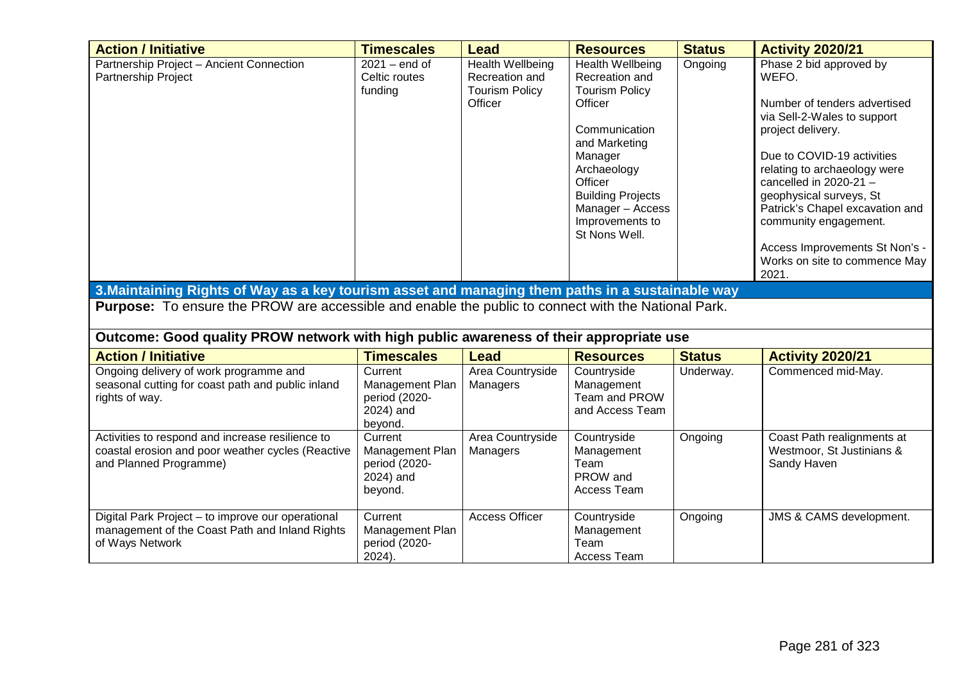| <b>Action / Initiative</b>                                                                                                      | <b>Timescales</b>                                                   | <b>Lead</b>                                                                   | <b>Resources</b>                                                                                                                                                                                                                         | <b>Status</b> | <b>Activity 2020/21</b>                                                                                                                                                                                                                                                                                                                                                           |
|---------------------------------------------------------------------------------------------------------------------------------|---------------------------------------------------------------------|-------------------------------------------------------------------------------|------------------------------------------------------------------------------------------------------------------------------------------------------------------------------------------------------------------------------------------|---------------|-----------------------------------------------------------------------------------------------------------------------------------------------------------------------------------------------------------------------------------------------------------------------------------------------------------------------------------------------------------------------------------|
| Partnership Project - Ancient Connection<br>Partnership Project                                                                 | $2021 - end$ of<br>Celtic routes<br>funding                         | <b>Health Wellbeing</b><br>Recreation and<br><b>Tourism Policy</b><br>Officer | <b>Health Wellbeing</b><br>Recreation and<br><b>Tourism Policy</b><br>Officer<br>Communication<br>and Marketing<br>Manager<br>Archaeology<br>Officer<br><b>Building Projects</b><br>Manager - Access<br>Improvements to<br>St Nons Well. | Ongoing       | Phase 2 bid approved by<br>WEFO.<br>Number of tenders advertised<br>via Sell-2-Wales to support<br>project delivery.<br>Due to COVID-19 activities<br>relating to archaeology were<br>cancelled in 2020-21 $-$<br>geophysical surveys, St<br>Patrick's Chapel excavation and<br>community engagement.<br>Access Improvements St Non's -<br>Works on site to commence May<br>2021. |
| 3. Maintaining Rights of Way as a key tourism asset and managing them paths in a sustainable way                                |                                                                     |                                                                               |                                                                                                                                                                                                                                          |               |                                                                                                                                                                                                                                                                                                                                                                                   |
| <b>Purpose:</b> To ensure the PROW are accessible and enable the public to connect with the National Park.                      |                                                                     |                                                                               |                                                                                                                                                                                                                                          |               |                                                                                                                                                                                                                                                                                                                                                                                   |
| Outcome: Good quality PROW network with high public awareness of their appropriate use                                          |                                                                     |                                                                               |                                                                                                                                                                                                                                          |               |                                                                                                                                                                                                                                                                                                                                                                                   |
| <b>Action / Initiative</b>                                                                                                      | <b>Timescales</b>                                                   | <b>Lead</b>                                                                   | <b>Resources</b>                                                                                                                                                                                                                         | <b>Status</b> | <b>Activity 2020/21</b>                                                                                                                                                                                                                                                                                                                                                           |
| Ongoing delivery of work programme and<br>seasonal cutting for coast path and public inland<br>rights of way.                   | Current<br>Management Plan<br>period (2020-<br>2024) and<br>beyond. | Area Countryside<br>Managers                                                  | Countryside<br>Management<br>Team and PROW<br>and Access Team                                                                                                                                                                            | Underway.     | Commenced mid-May.                                                                                                                                                                                                                                                                                                                                                                |
| Activities to respond and increase resilience to<br>coastal erosion and poor weather cycles (Reactive<br>and Planned Programme) | Current<br>Management Plan<br>period (2020-<br>2024) and<br>beyond. | Area Countryside<br>Managers                                                  | Countryside<br>Management<br>Team<br>PROW and<br>Access Team                                                                                                                                                                             | Ongoing       | Coast Path realignments at<br>Westmoor, St Justinians &<br>Sandy Haven                                                                                                                                                                                                                                                                                                            |
| Digital Park Project - to improve our operational<br>management of the Coast Path and Inland Rights<br>of Ways Network          | Current<br>Management Plan<br>period (2020-<br>2024).               | <b>Access Officer</b>                                                         | Countryside<br>Management<br>Team<br>Access Team                                                                                                                                                                                         | Ongoing       | JMS & CAMS development.                                                                                                                                                                                                                                                                                                                                                           |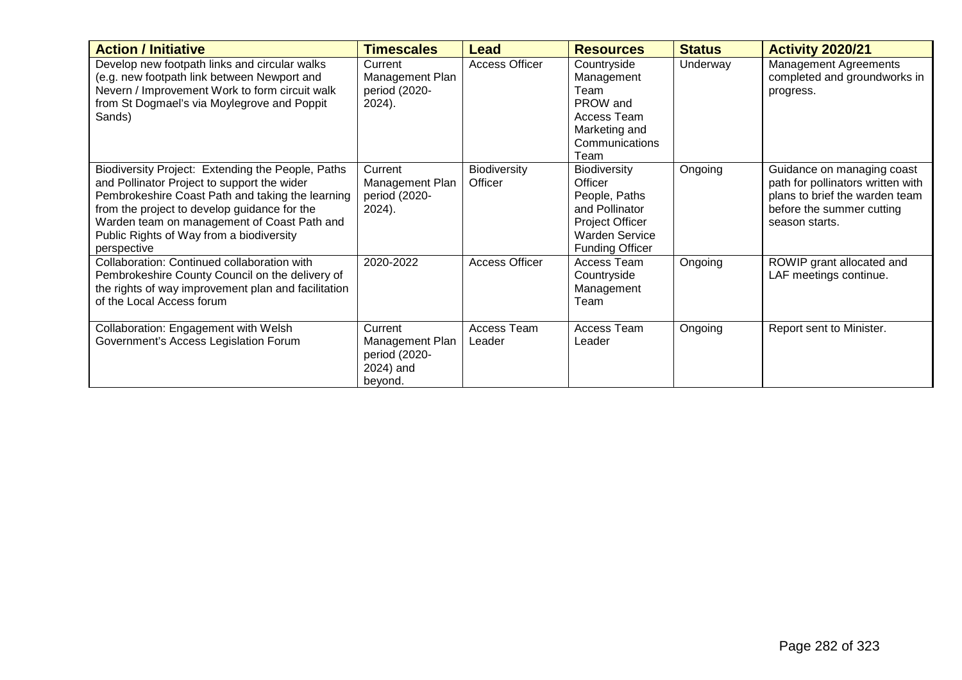| <b>Action / Initiative</b>                                                                                                                                                                                                                                                                                     | <b>Timescales</b>                                                   | Lead                           | <b>Resources</b>                                                                                                                 | <b>Status</b> | <b>Activity 2020/21</b>                                                                                                                          |
|----------------------------------------------------------------------------------------------------------------------------------------------------------------------------------------------------------------------------------------------------------------------------------------------------------------|---------------------------------------------------------------------|--------------------------------|----------------------------------------------------------------------------------------------------------------------------------|---------------|--------------------------------------------------------------------------------------------------------------------------------------------------|
| Develop new footpath links and circular walks<br>(e.g. new footpath link between Newport and<br>Nevern / Improvement Work to form circuit walk<br>from St Dogmael's via Moylegrove and Poppit<br>Sands)                                                                                                        | Current<br>Management Plan<br>period (2020-<br>2024).               | Access Officer                 | Countryside<br>Management<br>Team<br>PROW and<br>Access Team<br>Marketing and<br>Communications<br>Team                          | Underway      | <b>Management Agreements</b><br>completed and groundworks in<br>progress.                                                                        |
| Biodiversity Project: Extending the People, Paths<br>and Pollinator Project to support the wider<br>Pembrokeshire Coast Path and taking the learning<br>from the project to develop guidance for the<br>Warden team on management of Coast Path and<br>Public Rights of Way from a biodiversity<br>perspective | Current<br>Management Plan<br>period (2020-<br>2024).               | <b>Biodiversity</b><br>Officer | Biodiversity<br>Officer<br>People, Paths<br>and Pollinator<br>Project Officer<br><b>Warden Service</b><br><b>Funding Officer</b> | Ongoing       | Guidance on managing coast<br>path for pollinators written with<br>plans to brief the warden team<br>before the summer cutting<br>season starts. |
| Collaboration: Continued collaboration with<br>Pembrokeshire County Council on the delivery of<br>the rights of way improvement plan and facilitation<br>of the Local Access forum                                                                                                                             | 2020-2022                                                           | <b>Access Officer</b>          | Access Team<br>Countryside<br>Management<br>Team                                                                                 | Ongoing       | ROWIP grant allocated and<br>LAF meetings continue.                                                                                              |
| Collaboration: Engagement with Welsh<br>Government's Access Legislation Forum                                                                                                                                                                                                                                  | Current<br>Management Plan<br>period (2020-<br>2024) and<br>beyond. | Access Team<br>Leader          | Access Team<br>Leader                                                                                                            | Ongoing       | Report sent to Minister.                                                                                                                         |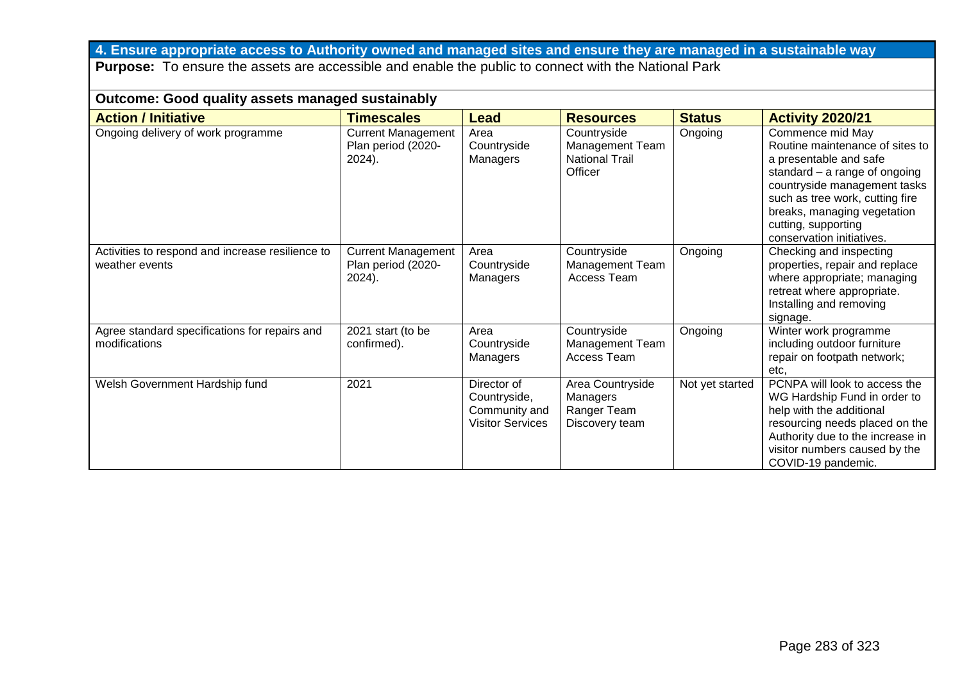# **4. Ensure appropriate access to Authority owned and managed sites and ensure they are managed in a sustainable way**

**Purpose:** To ensure the assets are accessible and enable the public to connect with the National Park

| <b>Outcome: Good quality assets managed sustainably</b>            |                                                           |                                                                         |                                                                           |                 |                                                                                                                                                                                                                                                                        |  |  |  |
|--------------------------------------------------------------------|-----------------------------------------------------------|-------------------------------------------------------------------------|---------------------------------------------------------------------------|-----------------|------------------------------------------------------------------------------------------------------------------------------------------------------------------------------------------------------------------------------------------------------------------------|--|--|--|
| <b>Action / Initiative</b>                                         | <b>Timescales</b>                                         | Lead                                                                    | <b>Resources</b>                                                          | <b>Status</b>   | <b>Activity 2020/21</b>                                                                                                                                                                                                                                                |  |  |  |
| Ongoing delivery of work programme                                 | <b>Current Management</b><br>Plan period (2020-<br>2024). | Area<br>Countryside<br>Managers                                         | Countryside<br><b>Management Team</b><br><b>National Trail</b><br>Officer | Ongoing         | Commence mid May<br>Routine maintenance of sites to<br>a presentable and safe<br>standard $-$ a range of ongoing<br>countryside management tasks<br>such as tree work, cutting fire<br>breaks, managing vegetation<br>cutting, supporting<br>conservation initiatives. |  |  |  |
| Activities to respond and increase resilience to<br>weather events | <b>Current Management</b><br>Plan period (2020-<br>2024). | Area<br>Countryside<br>Managers                                         | Countryside<br><b>Management Team</b><br>Access Team                      | Ongoing         | Checking and inspecting<br>properties, repair and replace<br>where appropriate; managing<br>retreat where appropriate.<br>Installing and removing<br>signage.                                                                                                          |  |  |  |
| Agree standard specifications for repairs and<br>modifications     | 2021 start (to be<br>confirmed).                          | Area<br>Countryside<br>Managers                                         | Countryside<br><b>Management Team</b><br><b>Access Team</b>               | Ongoing         | Winter work programme<br>including outdoor furniture<br>repair on footpath network;<br>etc.                                                                                                                                                                            |  |  |  |
| Welsh Government Hardship fund                                     | 2021                                                      | Director of<br>Countryside,<br>Community and<br><b>Visitor Services</b> | Area Countryside<br>Managers<br>Ranger Team<br>Discovery team             | Not yet started | PCNPA will look to access the<br>WG Hardship Fund in order to<br>help with the additional<br>resourcing needs placed on the<br>Authority due to the increase in<br>visitor numbers caused by the<br>COVID-19 pandemic.                                                 |  |  |  |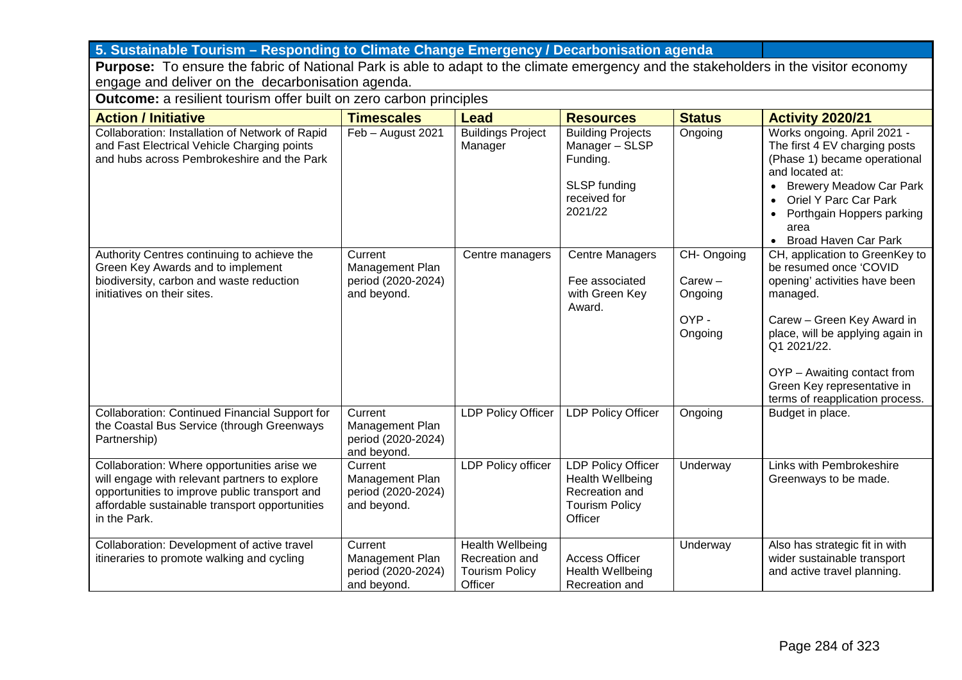## **5. Sustainable Tourism – Responding to Climate Change Emergency / Decarbonisation agenda**

**Purpose:** To ensure the fabric of National Park is able to adapt to the climate emergency and the stakeholders in the visitor economy engage and deliver on the decarbonisation agenda.

**Outcome:** a resilient tourism offer built on zero carbon principles

| <b>Action / Initiative</b>                                                                                                                                                                                      | <b>Timescales</b>                                               | <b>Lead</b>                                                                   | <b>Resources</b>                                                                                    | <b>Status</b>                                         | <b>Activity 2020/21</b>                                                                                                                                                                                                                                                                                   |
|-----------------------------------------------------------------------------------------------------------------------------------------------------------------------------------------------------------------|-----------------------------------------------------------------|-------------------------------------------------------------------------------|-----------------------------------------------------------------------------------------------------|-------------------------------------------------------|-----------------------------------------------------------------------------------------------------------------------------------------------------------------------------------------------------------------------------------------------------------------------------------------------------------|
| Collaboration: Installation of Network of Rapid<br>and Fast Electrical Vehicle Charging points<br>and hubs across Pembrokeshire and the Park                                                                    | Feb - August 2021                                               | <b>Buildings Project</b><br>Manager                                           | <b>Building Projects</b><br>Manager - SLSP<br>Funding.<br>SLSP funding<br>received for<br>2021/22   | Ongoing                                               | Works ongoing. April 2021 -<br>The first 4 EV charging posts<br>(Phase 1) became operational<br>and located at:<br><b>Brewery Meadow Car Park</b><br>$\bullet$<br><b>Oriel Y Parc Car Park</b><br>$\bullet$<br>Porthgain Hoppers parking<br>$\bullet$<br>area<br><b>Broad Haven Car Park</b><br>$\bullet$ |
| Authority Centres continuing to achieve the<br>Green Key Awards and to implement<br>biodiversity, carbon and waste reduction<br>initiatives on their sites.                                                     | Current<br>Management Plan<br>period (2020-2024)<br>and beyond. | Centre managers                                                               | <b>Centre Managers</b><br>Fee associated<br>with Green Key<br>Award.                                | CH-Ongoing<br>$Carew -$<br>Ongoing<br>OYP-<br>Ongoing | CH, application to GreenKey to<br>be resumed once 'COVID<br>opening' activities have been<br>managed.<br>Carew - Green Key Award in<br>place, will be applying again in<br>Q1 2021/22.<br>OYP - Awaiting contact from<br>Green Key representative in<br>terms of reapplication process.                   |
| <b>Collaboration: Continued Financial Support for</b><br>the Coastal Bus Service (through Greenways<br>Partnership)                                                                                             | Current<br>Management Plan<br>period (2020-2024)<br>and beyond. | <b>LDP Policy Officer</b>                                                     | <b>LDP Policy Officer</b>                                                                           | Ongoing                                               | Budget in place.                                                                                                                                                                                                                                                                                          |
| Collaboration: Where opportunities arise we<br>will engage with relevant partners to explore<br>opportunities to improve public transport and<br>affordable sustainable transport opportunities<br>in the Park. | Current<br>Management Plan<br>period (2020-2024)<br>and beyond. | <b>LDP Policy officer</b>                                                     | <b>LDP Policy Officer</b><br>Health Wellbeing<br>Recreation and<br><b>Tourism Policy</b><br>Officer | Underway                                              | Links with Pembrokeshire<br>Greenways to be made.                                                                                                                                                                                                                                                         |
| Collaboration: Development of active travel<br>itineraries to promote walking and cycling                                                                                                                       | Current<br>Management Plan<br>period (2020-2024)<br>and beyond. | <b>Health Wellbeing</b><br>Recreation and<br><b>Tourism Policy</b><br>Officer | <b>Access Officer</b><br>Health Wellbeing<br>Recreation and                                         | Underway                                              | Also has strategic fit in with<br>wider sustainable transport<br>and active travel planning.                                                                                                                                                                                                              |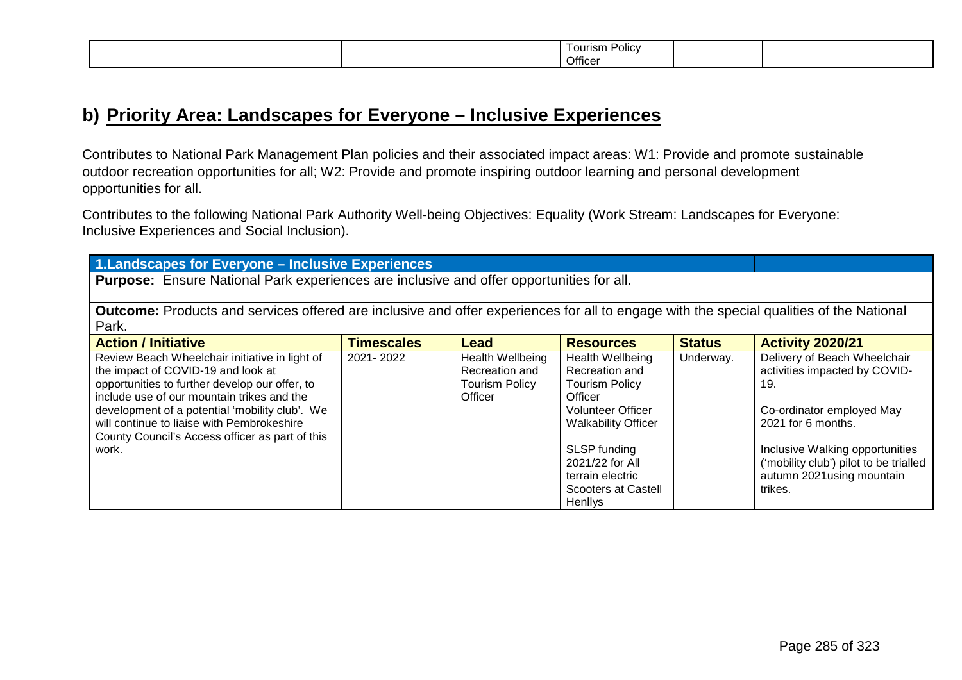|  |  |  | Policy<br>l ourism<br>Officer |  |  |
|--|--|--|-------------------------------|--|--|
|--|--|--|-------------------------------|--|--|

## **b) Priority Area: Landscapes for Everyone – Inclusive Experiences**

Contributes to National Park Management Plan policies and their associated impact areas: W1: Provide and promote sustainable outdoor recreation opportunities for all; W2: Provide and promote inspiring outdoor learning and personal development opportunities for all.

Contributes to the following National Park Authority Well-being Objectives: Equality (Work Stream: Landscapes for Everyone: Inclusive Experiences and Social Inclusion).

**1.Landscapes for Everyone – Inclusive Experiences**

**Purpose:** Ensure National Park experiences are inclusive and offer opportunities for all.

**Outcome:** Products and services offered are inclusive and offer experiences for all to engage with the special qualities of the National Park.

| <b>Action / Initiative</b>                      | <b>Timescales</b> | <b>Lead</b>           | <b>Resources</b>           | <b>Status</b> | <b>Activity 2020/21</b>                |
|-------------------------------------------------|-------------------|-----------------------|----------------------------|---------------|----------------------------------------|
| Review Beach Wheelchair initiative in light of  | 2021-2022         | Health Wellbeing      | Health Wellbeing           | Underway.     | Delivery of Beach Wheelchair           |
| the impact of COVID-19 and look at              |                   | Recreation and        | Recreation and             |               | activities impacted by COVID-          |
| opportunities to further develop our offer, to  |                   | <b>Tourism Policy</b> | <b>Tourism Policy</b>      |               | 19.                                    |
| include use of our mountain trikes and the      |                   | Officer               | Officer                    |               |                                        |
| development of a potential 'mobility club'. We  |                   |                       | <b>Volunteer Officer</b>   |               | Co-ordinator employed May              |
| will continue to liaise with Pembrokeshire      |                   |                       | <b>Walkability Officer</b> |               | 2021 for 6 months.                     |
| County Council's Access officer as part of this |                   |                       |                            |               |                                        |
| work.                                           |                   |                       | SLSP funding               |               | Inclusive Walking opportunities        |
|                                                 |                   |                       | 2021/22 for All            |               | ('mobility club') pilot to be trialled |
|                                                 |                   |                       | terrain electric           |               | autumn 2021 using mountain             |
|                                                 |                   |                       | <b>Scooters at Castell</b> |               | trikes.                                |
|                                                 |                   |                       | <b>Henlivs</b>             |               |                                        |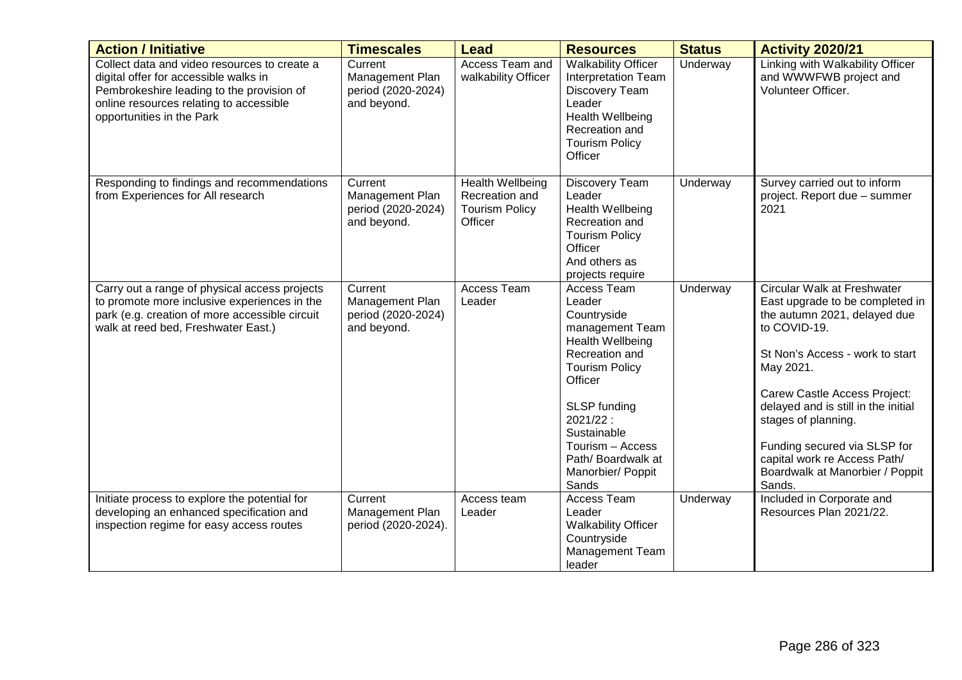| <b>Action / Initiative</b>                                                                                                                                                                                 | <b>Timescales</b>                                               | <b>Lead</b>                                                                   | <b>Resources</b>                                                                                                                                                                                                                                    | <b>Status</b> | <b>Activity 2020/21</b>                                                                                                                                                                                                                                                                                                                                                   |
|------------------------------------------------------------------------------------------------------------------------------------------------------------------------------------------------------------|-----------------------------------------------------------------|-------------------------------------------------------------------------------|-----------------------------------------------------------------------------------------------------------------------------------------------------------------------------------------------------------------------------------------------------|---------------|---------------------------------------------------------------------------------------------------------------------------------------------------------------------------------------------------------------------------------------------------------------------------------------------------------------------------------------------------------------------------|
| Collect data and video resources to create a<br>digital offer for accessible walks in<br>Pembrokeshire leading to the provision of<br>online resources relating to accessible<br>opportunities in the Park | Current<br>Management Plan<br>period (2020-2024)<br>and beyond. | Access Team and<br>walkability Officer                                        | <b>Walkability Officer</b><br><b>Interpretation Team</b><br>Discovery Team<br>Leader<br>Health Wellbeing<br>Recreation and<br><b>Tourism Policy</b><br>Officer                                                                                      | Underway      | Linking with Walkability Officer<br>and WWWFWB project and<br>Volunteer Officer.                                                                                                                                                                                                                                                                                          |
| Responding to findings and recommendations<br>from Experiences for All research                                                                                                                            | Current<br>Management Plan<br>period (2020-2024)<br>and beyond. | <b>Health Wellbeing</b><br>Recreation and<br><b>Tourism Policy</b><br>Officer | Discovery Team<br>Leader<br>Health Wellbeing<br>Recreation and<br><b>Tourism Policy</b><br>Officer<br>And others as<br>projects require                                                                                                             | Underway      | Survey carried out to inform<br>project. Report due - summer<br>2021                                                                                                                                                                                                                                                                                                      |
| Carry out a range of physical access projects<br>to promote more inclusive experiences in the<br>park (e.g. creation of more accessible circuit<br>walk at reed bed, Freshwater East.)                     | Current<br>Management Plan<br>period (2020-2024)<br>and beyond. | Access Team<br>Leader                                                         | Access Team<br>Leader<br>Countryside<br>management Team<br>Health Wellbeing<br>Recreation and<br><b>Tourism Policy</b><br>Officer<br>SLSP funding<br>2021/22:<br>Sustainable<br>Tourism - Access<br>Path/Boardwalk at<br>Manorbier/ Poppit<br>Sands | Underway      | Circular Walk at Freshwater<br>East upgrade to be completed in<br>the autumn 2021, delayed due<br>to COVID-19.<br>St Non's Access - work to start<br>May 2021.<br>Carew Castle Access Project:<br>delayed and is still in the initial<br>stages of planning.<br>Funding secured via SLSP for<br>capital work re Access Path/<br>Boardwalk at Manorbier / Poppit<br>Sands. |
| Initiate process to explore the potential for<br>developing an enhanced specification and<br>inspection regime for easy access routes                                                                      | Current<br>Management Plan<br>period (2020-2024).               | Access team<br>Leader                                                         | Access Team<br>Leader<br><b>Walkability Officer</b><br>Countryside<br>Management Team<br>leader                                                                                                                                                     | Underway      | Included in Corporate and<br>Resources Plan 2021/22.                                                                                                                                                                                                                                                                                                                      |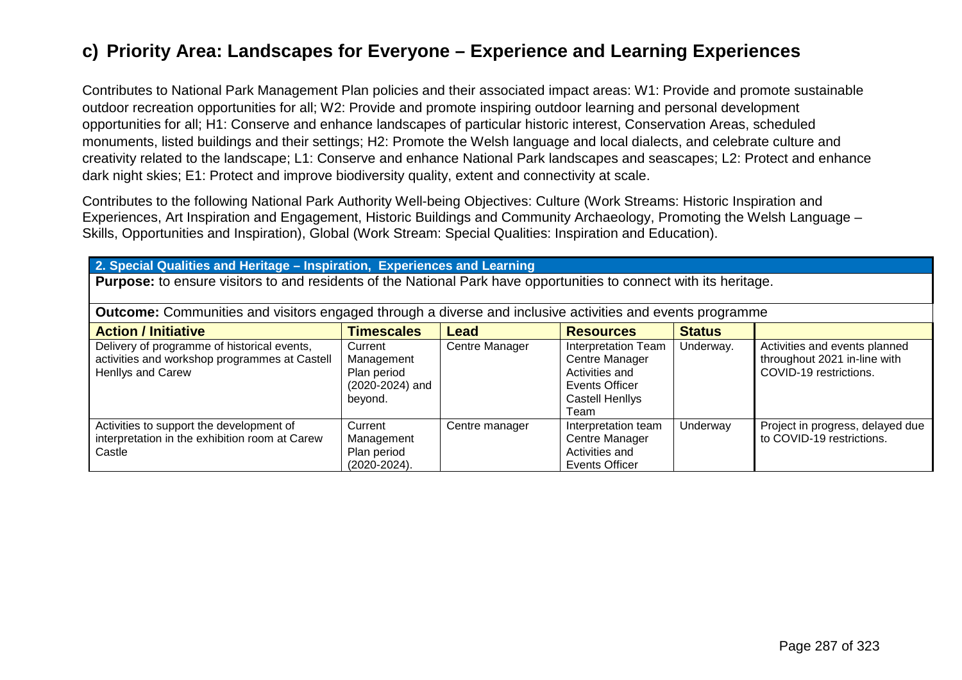## **c) Priority Area: Landscapes for Everyone – Experience and Learning Experiences**

Contributes to National Park Management Plan policies and their associated impact areas: W1: Provide and promote sustainable outdoor recreation opportunities for all; W2: Provide and promote inspiring outdoor learning and personal development opportunities for all; H1: Conserve and enhance landscapes of particular historic interest, Conservation Areas, scheduled monuments, listed buildings and their settings; H2: Promote the Welsh language and local dialects, and celebrate culture and creativity related to the landscape; L1: Conserve and enhance National Park landscapes and seascapes; L2: Protect and enhance dark night skies; E1: Protect and improve biodiversity quality, extent and connectivity at scale.

Contributes to the following National Park Authority Well-being Objectives: Culture (Work Streams: Historic Inspiration and Experiences, Art Inspiration and Engagement, Historic Buildings and Community Archaeology, Promoting the Welsh Language – Skills, Opportunities and Inspiration), Global (Work Stream: Special Qualities: Inspiration and Education).

#### **2. Special Qualities and Heritage – Inspiration, Experiences and Learning**

**Purpose:** to ensure visitors to and residents of the National Park have opportunities to connect with its heritage.

| <b>Outcome:</b> Communities and visitors engaged through a diverse and inclusive activities and events programme         |                                                                    |                |                                                                                                             |               |                                                                                         |
|--------------------------------------------------------------------------------------------------------------------------|--------------------------------------------------------------------|----------------|-------------------------------------------------------------------------------------------------------------|---------------|-----------------------------------------------------------------------------------------|
| <b>Action / Initiative</b>                                                                                               | <b>Timescales</b>                                                  | Lead           | <b>Resources</b>                                                                                            | <b>Status</b> |                                                                                         |
| Delivery of programme of historical events,<br>activities and workshop programmes at Castell<br><b>Henllys and Carew</b> | Current<br>Management<br>Plan period<br>(2020-2024) and<br>beyond. | Centre Manager | <b>Interpretation Team</b><br>Centre Manager<br>Activities and<br>Events Officer<br>Castell Henllys<br>⊺eam | Underway.     | Activities and events planned<br>throughout 2021 in-line with<br>COVID-19 restrictions. |
| Activities to support the development of<br>interpretation in the exhibition room at Carew<br>Castle                     | Current<br>Management<br>Plan period<br>$(2020 - 2024)$ .          | Centre manager | Interpretation team<br>Centre Manager<br>Activities and<br>Events Officer                                   | Underway      | Project in progress, delayed due<br>to COVID-19 restrictions.                           |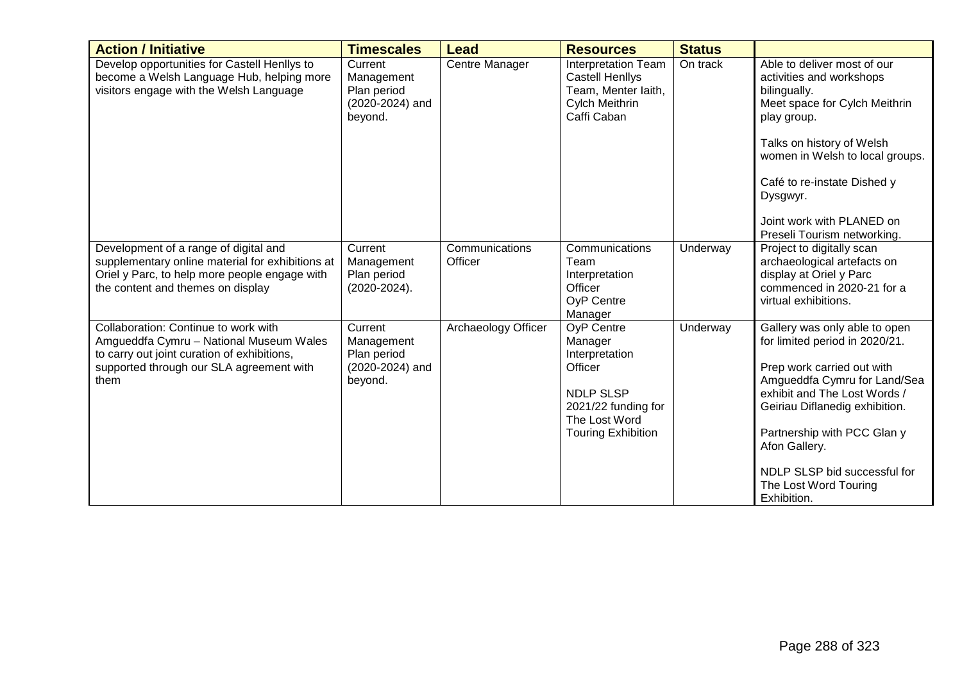| <b>Action / Initiative</b>                                                                                                                                                         | <b>Timescales</b>                                                  | <b>Lead</b>               | <b>Resources</b>                                                                                                                                   | <b>Status</b> |                                                                                                                                                                                                                                                                                                                         |
|------------------------------------------------------------------------------------------------------------------------------------------------------------------------------------|--------------------------------------------------------------------|---------------------------|----------------------------------------------------------------------------------------------------------------------------------------------------|---------------|-------------------------------------------------------------------------------------------------------------------------------------------------------------------------------------------------------------------------------------------------------------------------------------------------------------------------|
| Develop opportunities for Castell Henllys to<br>become a Welsh Language Hub, helping more<br>visitors engage with the Welsh Language                                               | Current<br>Management<br>Plan period<br>(2020-2024) and<br>beyond. | Centre Manager            | <b>Interpretation Team</b><br><b>Castell Henllys</b><br>Team, Menter laith,<br>Cylch Meithrin<br>Caffi Caban                                       | On track      | Able to deliver most of our<br>activities and workshops<br>bilingually.<br>Meet space for Cylch Meithrin<br>play group.<br>Talks on history of Welsh<br>women in Welsh to local groups.<br>Café to re-instate Dished y<br>Dysgwyr.<br>Joint work with PLANED on<br>Preseli Tourism networking.                          |
| Development of a range of digital and<br>supplementary online material for exhibitions at<br>Oriel y Parc, to help more people engage with<br>the content and themes on display    | Current<br>Management<br>Plan period<br>$(2020 - 2024)$ .          | Communications<br>Officer | Communications<br>Team<br>Interpretation<br>Officer<br><b>OyP Centre</b><br>Manager                                                                | Underway      | Project to digitally scan<br>archaeological artefacts on<br>display at Oriel y Parc<br>commenced in 2020-21 for a<br>virtual exhibitions.                                                                                                                                                                               |
| Collaboration: Continue to work with<br>Amgueddfa Cymru - National Museum Wales<br>to carry out joint curation of exhibitions,<br>supported through our SLA agreement with<br>them | Current<br>Management<br>Plan period<br>(2020-2024) and<br>beyond. | Archaeology Officer       | <b>OyP Centre</b><br>Manager<br>Interpretation<br>Officer<br><b>NDLP SLSP</b><br>2021/22 funding for<br>The Lost Word<br><b>Touring Exhibition</b> | Underway      | Gallery was only able to open<br>for limited period in 2020/21.<br>Prep work carried out with<br>Amgueddfa Cymru for Land/Sea<br>exhibit and The Lost Words /<br>Geiriau Diflanedig exhibition.<br>Partnership with PCC Glan y<br>Afon Gallery.<br>NDLP SLSP bid successful for<br>The Lost Word Touring<br>Exhibition. |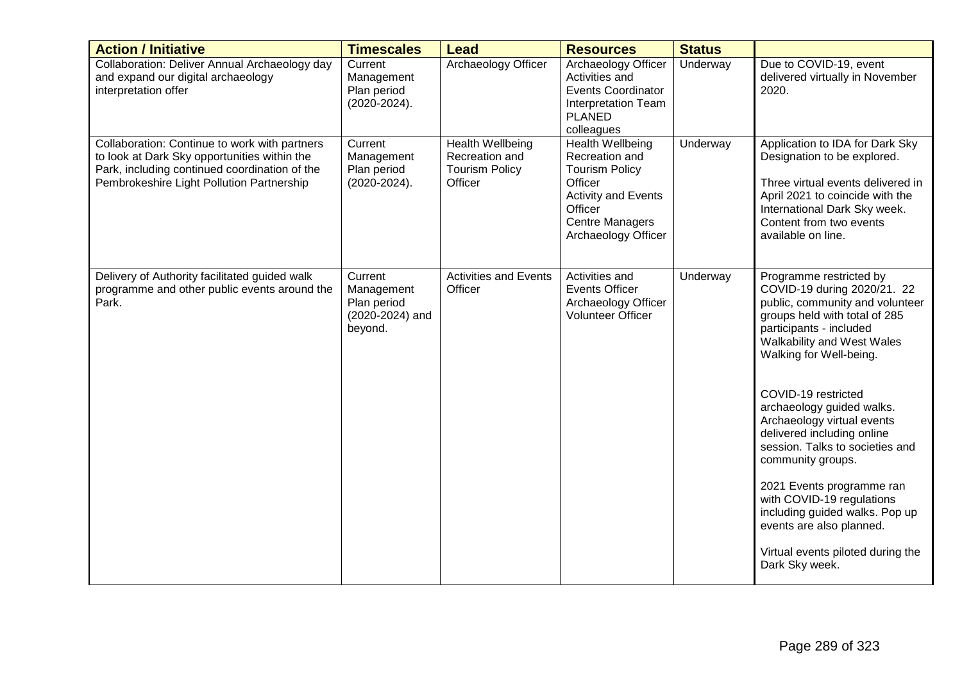| <b>Action / Initiative</b>                                                                                                                                                                  | <b>Timescales</b>                                                  | <b>Lead</b>                                                            | <b>Resources</b>                                                                                                                                                 | <b>Status</b> |                                                                                                                                                                                                                         |
|---------------------------------------------------------------------------------------------------------------------------------------------------------------------------------------------|--------------------------------------------------------------------|------------------------------------------------------------------------|------------------------------------------------------------------------------------------------------------------------------------------------------------------|---------------|-------------------------------------------------------------------------------------------------------------------------------------------------------------------------------------------------------------------------|
| Collaboration: Deliver Annual Archaeology day<br>and expand our digital archaeology<br>interpretation offer                                                                                 | Current<br>Management<br>Plan period<br>$(2020 - 2024)$ .          | Archaeology Officer                                                    | <b>Archaeology Officer</b><br>Activities and<br><b>Events Coordinator</b><br><b>Interpretation Team</b><br><b>PLANED</b><br>colleagues                           | Underway      | Due to COVID-19, event<br>delivered virtually in November<br>2020.                                                                                                                                                      |
| Collaboration: Continue to work with partners<br>to look at Dark Sky opportunities within the<br>Park, including continued coordination of the<br>Pembrokeshire Light Pollution Partnership | Current<br>Management<br>Plan period<br>$(2020-2024).$             | Health Wellbeing<br>Recreation and<br><b>Tourism Policy</b><br>Officer | Health Wellbeing<br>Recreation and<br><b>Tourism Policy</b><br>Officer<br><b>Activity and Events</b><br>Officer<br><b>Centre Managers</b><br>Archaeology Officer | Underway      | Application to IDA for Dark Sky<br>Designation to be explored.<br>Three virtual events delivered in<br>April 2021 to coincide with the<br>International Dark Sky week.<br>Content from two events<br>available on line. |
| Delivery of Authority facilitated guided walk<br>programme and other public events around the<br>Park.                                                                                      | Current<br>Management<br>Plan period<br>(2020-2024) and<br>beyond. | <b>Activities and Events</b><br>Officer                                | Activities and<br><b>Events Officer</b><br>Archaeology Officer<br><b>Volunteer Officer</b>                                                                       | Underway      | Programme restricted by<br>COVID-19 during 2020/21. 22<br>public, community and volunteer<br>groups held with total of 285<br>participants - included<br>Walkability and West Wales<br>Walking for Well-being.          |
|                                                                                                                                                                                             |                                                                    |                                                                        |                                                                                                                                                                  |               | COVID-19 restricted<br>archaeology guided walks.<br>Archaeology virtual events<br>delivered including online<br>session. Talks to societies and<br>community groups.                                                    |
|                                                                                                                                                                                             |                                                                    |                                                                        |                                                                                                                                                                  |               | 2021 Events programme ran<br>with COVID-19 regulations<br>including guided walks. Pop up<br>events are also planned.                                                                                                    |
|                                                                                                                                                                                             |                                                                    |                                                                        |                                                                                                                                                                  |               | Virtual events piloted during the<br>Dark Sky week.                                                                                                                                                                     |